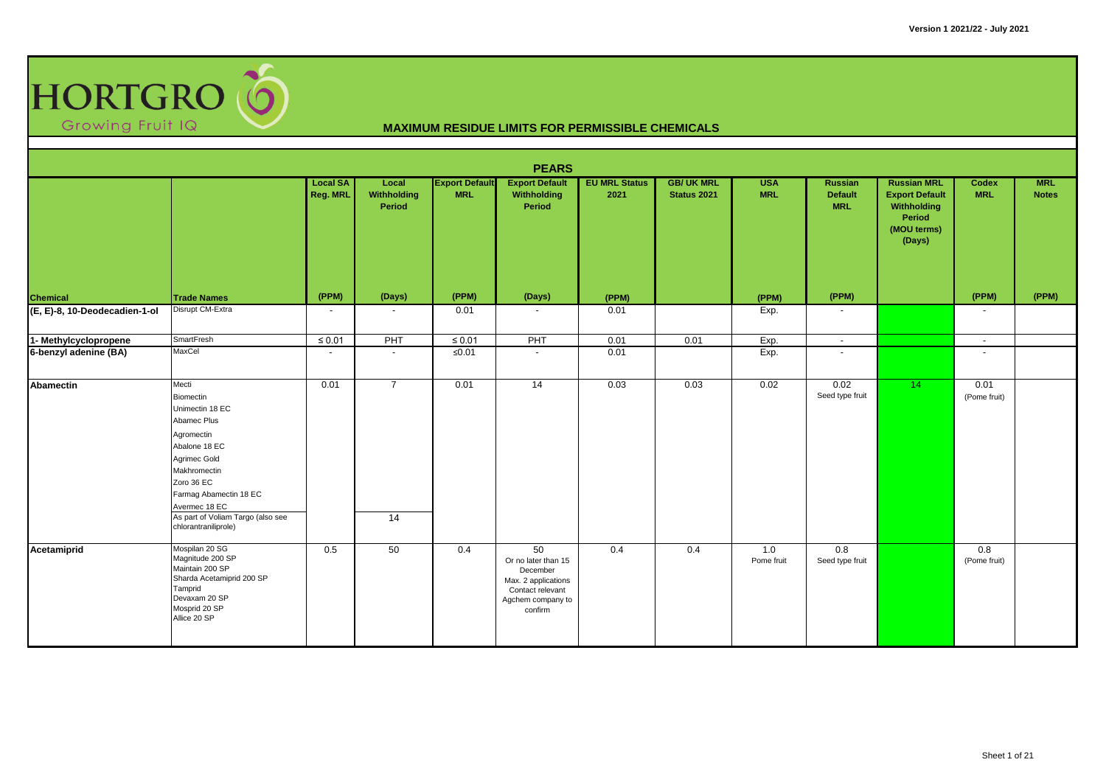

|                                           |                                                                                                                                                                                                                                           |                             |                                |                                     | <b>PEARS</b>                                                                                                     |                              |                                 |                          |                                                |                                                                                               |                            |                            |
|-------------------------------------------|-------------------------------------------------------------------------------------------------------------------------------------------------------------------------------------------------------------------------------------------|-----------------------------|--------------------------------|-------------------------------------|------------------------------------------------------------------------------------------------------------------|------------------------------|---------------------------------|--------------------------|------------------------------------------------|-----------------------------------------------------------------------------------------------|----------------------------|----------------------------|
|                                           |                                                                                                                                                                                                                                           | <b>Local SA</b><br>Reg. MRL | Local<br>Withholding<br>Period | <b>Export Default</b><br><b>MRL</b> | <b>Export Default</b><br>Withholding<br>Period                                                                   | <b>EU MRL Status</b><br>2021 | <b>GB/UK MRL</b><br>Status 2021 | <b>USA</b><br><b>MRL</b> | <b>Russian</b><br><b>Default</b><br><b>MRL</b> | <b>Russian MRL</b><br><b>Export Default</b><br>Withholding<br>Period<br>(MOU terms)<br>(Days) | <b>Codex</b><br><b>MRL</b> | <b>MRL</b><br><b>Notes</b> |
|                                           | <b>Trade Names</b>                                                                                                                                                                                                                        | (PPM)                       | (Days)                         | (PPM)                               | (Days)                                                                                                           | (PPM)                        |                                 | (PPM)                    | (PPM)                                          |                                                                                               | (PPM)                      | (PPM)                      |
| Chemical<br>(E, E)-8, 10-Deodecadien-1-ol | Disrupt CM-Extra                                                                                                                                                                                                                          | $\overline{\phantom{a}}$    | $\overline{\phantom{a}}$       | 0.01                                | $\sim$                                                                                                           | 0.01                         |                                 | Exp.                     | $\overline{\phantom{a}}$                       |                                                                                               | $\overline{\phantom{a}}$   |                            |
| 1- Methylcyclopropene                     | SmartFresh                                                                                                                                                                                                                                | $\leq 0.01$                 | PHT                            | $\leq 0.01$                         | PHT                                                                                                              | 0.01                         | 0.01                            | Exp.                     | $\sim$                                         |                                                                                               | $\sim$                     |                            |
| 6-benzyl adenine (BA)                     | MaxCel                                                                                                                                                                                                                                    | $\overline{\phantom{a}}$    | $\sim$                         | $≤0.01$                             | $\sim$                                                                                                           | 0.01                         |                                 | Exp.                     | $\overline{\phantom{a}}$                       |                                                                                               | $\overline{\phantom{a}}$   |                            |
| Abamectin                                 | Mecti<br>Biomectin<br>Unimectin 18 EC<br>Abamec Plus<br>Agromectin<br>Abalone 18 EC<br>Agrimec Gold<br>Makhromectin<br>Zoro 36 EC<br>Farmag Abamectin 18 EC<br>Avermec 18 EC<br>As part of Voliam Targo (also see<br>chlorantraniliprole) | 0.01                        | $\overline{7}$<br>14           | 0.01                                | 14                                                                                                               | 0.03                         | 0.03                            | 0.02                     | 0.02<br>Seed type fruit                        | 14                                                                                            | 0.01<br>(Pome fruit)       |                            |
| Acetamiprid                               | Mospilan 20 SG<br>Magnitude 200 SP<br>Maintain 200 SP<br>Sharda Acetamiprid 200 SP<br>Tamprid<br>Devaxam 20 SP<br>Mosprid 20 SP<br>Allice 20 SP                                                                                           | 0.5                         | 50                             | 0.4                                 | 50<br>Or no later than 15<br>December<br>Max. 2 applications<br>Contact relevant<br>Agchem company to<br>confirm | 0.4                          | 0.4                             | 1.0<br>Pome fruit        | 0.8<br>Seed type fruit                         |                                                                                               | 0.8<br>(Pome fruit)        |                            |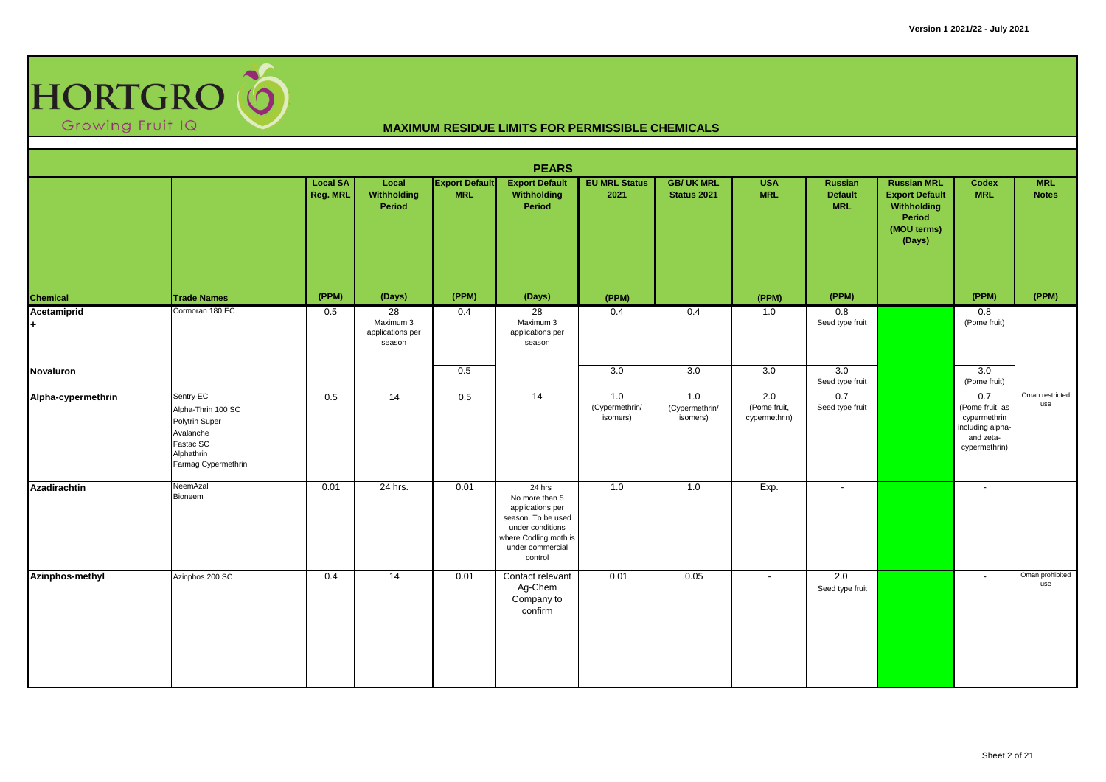

|                    |                                                                                                                  |                             |                                               |                                     | <b>PEARS</b>                                                                                                                                   |                                   |                                        |                                      |                                         |                                                                                               |                                                                                          |                            |
|--------------------|------------------------------------------------------------------------------------------------------------------|-----------------------------|-----------------------------------------------|-------------------------------------|------------------------------------------------------------------------------------------------------------------------------------------------|-----------------------------------|----------------------------------------|--------------------------------------|-----------------------------------------|-----------------------------------------------------------------------------------------------|------------------------------------------------------------------------------------------|----------------------------|
|                    |                                                                                                                  | <b>Local SA</b><br>Reg. MRL | Local<br>Withholding<br>Period                | <b>Export Default</b><br><b>MRL</b> | <b>Export Default</b><br>Withholding<br>Period                                                                                                 | <b>EU MRL Status</b><br>2021      | <b>GB/UK MRL</b><br><b>Status 2021</b> | <b>USA</b><br><b>MRL</b>             | Russian<br><b>Default</b><br><b>MRL</b> | <b>Russian MRL</b><br><b>Export Default</b><br>Withholding<br>Period<br>(MOU terms)<br>(Days) | Codex<br><b>MRL</b>                                                                      | <b>MRL</b><br><b>Notes</b> |
| Chemical           | <b>Trade Names</b>                                                                                               | (PPM)                       | (Days)                                        | (PPM)                               | (Days)                                                                                                                                         | (PPM)                             |                                        | (PPM)                                | (PPM)                                   |                                                                                               | (PPM)                                                                                    | (PPM)                      |
| Acetamiprid<br>$+$ | Cormoran 180 EC                                                                                                  | 0.5                         | 28<br>Maximum 3<br>applications per<br>season | 0.4                                 | 28<br>Maximum 3<br>applications per<br>season                                                                                                  | 0.4                               | 0.4                                    | 1.0                                  | 0.8<br>Seed type fruit                  |                                                                                               | 0.8<br>(Pome fruit)                                                                      |                            |
| Novaluron          |                                                                                                                  |                             |                                               | 0.5                                 |                                                                                                                                                | 3.0                               | 3.0                                    | 3.0                                  | 3.0<br>Seed type fruit                  |                                                                                               | 3.0<br>(Pome fruit)                                                                      |                            |
| Alpha-cypermethrin | Sentry EC<br>Alpha-Thrin 100 SC<br>Polytrin Super<br>Avalanche<br>Fastac SC<br>Alphathrin<br>Farmag Cypermethrin | 0.5                         | 14                                            | 0.5                                 | 14                                                                                                                                             | 1.0<br>(Cypermethrin/<br>isomers) | 1.0<br>(Cypermethrin/<br>isomers)      | 2.0<br>(Pome fruit,<br>cypermethrin) | 0.7<br>Seed type fruit                  |                                                                                               | 0.7<br>(Pome fruit, as<br>cypermethrin<br>including alpha-<br>and zeta-<br>cypermethrin) | Oman restricted<br>use     |
| Azadirachtin       | NeemAzal<br>Bioneem                                                                                              | 0.01                        | 24 hrs.                                       | 0.01                                | 24 hrs<br>No more than 5<br>applications per<br>season. To be used<br>under conditions<br>where Codling moth is<br>under commercial<br>control | 1.0                               | 1.0                                    | Exp.                                 | $\mathbf{r}$                            |                                                                                               | $\sim$                                                                                   |                            |
| Azinphos-methyl    | Azinphos 200 SC                                                                                                  | 0.4                         | 14                                            | 0.01                                | Contact relevant<br>Ag-Chem<br>Company to<br>confirm                                                                                           | 0.01                              | 0.05                                   | $\sim$                               | 2.0<br>Seed type fruit                  |                                                                                               | $\overline{\phantom{a}}$                                                                 | Oman prohibited<br>use     |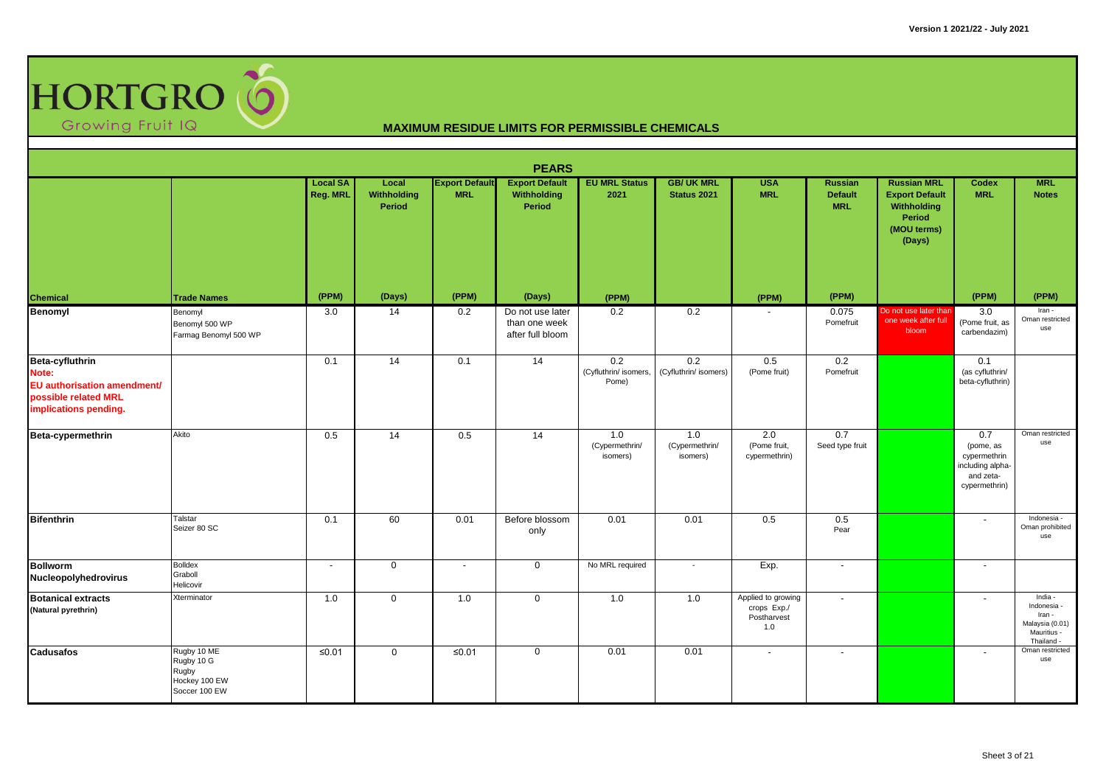

|                                                                                                                        |                                                                      |                             |                                       |                                     | <b>PEARS</b>                                          |                                       |                                   |                                                         |                                         |                                                                                               |                                                                                    |                                                                                  |
|------------------------------------------------------------------------------------------------------------------------|----------------------------------------------------------------------|-----------------------------|---------------------------------------|-------------------------------------|-------------------------------------------------------|---------------------------------------|-----------------------------------|---------------------------------------------------------|-----------------------------------------|-----------------------------------------------------------------------------------------------|------------------------------------------------------------------------------------|----------------------------------------------------------------------------------|
|                                                                                                                        |                                                                      | <b>Local SA</b><br>Reg. MRL | Local<br>Withholding<br><b>Period</b> | <b>Export Default</b><br><b>MRL</b> | <b>Export Default</b><br>Withholding<br>Period        | <b>EU MRL Status</b><br>2021          | <b>GB/ UK MRL</b><br>Status 2021  | <b>USA</b><br><b>MRL</b>                                | Russian<br><b>Default</b><br><b>MRL</b> | <b>Russian MRL</b><br><b>Export Default</b><br>Withholding<br>Period<br>(MOU terms)<br>(Days) | Codex<br><b>MRL</b>                                                                | <b>MRL</b><br><b>Notes</b>                                                       |
| <b>Chemical</b>                                                                                                        | <b>Trade Names</b>                                                   | (PPM)                       | (Days)                                | (PPM)                               | (Days)                                                | (PPM)                                 |                                   | (PPM)                                                   | (PPM)                                   |                                                                                               | (PPM)                                                                              | (PPM)                                                                            |
| <b>Benomyl</b>                                                                                                         | Benomyl<br>Benomyl 500 WP<br>Farmag Benomyl 500 WP                   | 3.0                         | 14                                    | 0.2                                 | Do not use later<br>than one week<br>after full bloom | 0.2                                   | 0.2                               |                                                         | 0.075<br>Pomefruit                      | Do not use later than<br>one week after full<br>bloom                                         | 3.0<br>(Pome fruit, as<br>carbendazim)                                             | Iran -<br>Oman restricted<br>use                                                 |
| <b>Beta-cyfluthrin</b><br>Note:<br><b>EU</b> authorisation amendment/<br>possible related MRL<br>implications pending. |                                                                      | 0.1                         | 14                                    | 0.1                                 | 14                                                    | 0.2<br>(Cyfluthrin/ isomers,<br>Pome) | 0.2<br>(Cyfluthrin/ isomers)      | 0.5<br>(Pome fruit)                                     | 0.2<br>Pomefruit                        |                                                                                               | 0.1<br>(as cyfluthrin/<br>beta-cyfluthrin)                                         |                                                                                  |
| Beta-cypermethrin                                                                                                      | Akito                                                                | 0.5                         | 14                                    | 0.5                                 | 14                                                    | 1.0<br>(Cypermethrin/<br>isomers)     | 1.0<br>(Cypermethrin/<br>isomers) | 2.0<br>(Pome fruit,<br>cypermethrin)                    | 0.7<br>Seed type fruit                  |                                                                                               | 0.7<br>(pome, as<br>cypermethrin<br>including alpha-<br>and zeta-<br>cypermethrin) | Oman restricted<br>use                                                           |
| Bifenthrin                                                                                                             | Talstar<br>Seizer 80 SC                                              | 0.1                         | 60                                    | 0.01                                | Before blossom<br>only                                | 0.01                                  | 0.01                              | 0.5                                                     | 0.5<br>Pear                             |                                                                                               | $\overline{\phantom{a}}$                                                           | Indonesia -<br>Oman prohibited<br>use                                            |
| <b>Bollworm</b><br>Nucleopolyhedrovirus                                                                                | <b>Bolldex</b><br>Graboll<br>Helicovir                               | $\blacksquare$              | $\mathbf 0$                           | $\overline{\phantom{a}}$            | $\mathbf 0$                                           | No MRL required                       |                                   | Exp.                                                    | $\overline{\phantom{a}}$                |                                                                                               | $\sim$                                                                             |                                                                                  |
| <b>Botanical extracts</b><br>(Natural pyrethrin)                                                                       | Xterminator                                                          | 1.0                         | $\mathbf 0$                           | 1.0                                 | $\mathbf 0$                                           | 1.0                                   | 1.0                               | Applied to growing<br>crops Exp./<br>Postharvest<br>1.0 | $\overline{\phantom{a}}$                |                                                                                               | $\overline{\phantom{a}}$                                                           | India -<br>Indonesia -<br>Iran -<br>Malaysia (0.01)<br>Mauritius -<br>Thailand - |
| <b>Cadusafos</b>                                                                                                       | Rugby 10 ME<br>Rugby 10 G<br>Rugby<br>Hockey 100 EW<br>Soccer 100 EW | $≤0.01$                     | $\mathbf 0$                           | $≤0.01$                             | $\mathbf 0$                                           | 0.01                                  | 0.01                              | $\blacksquare$                                          | $\sim$                                  |                                                                                               | $\sim$                                                                             | Oman restricted<br>use                                                           |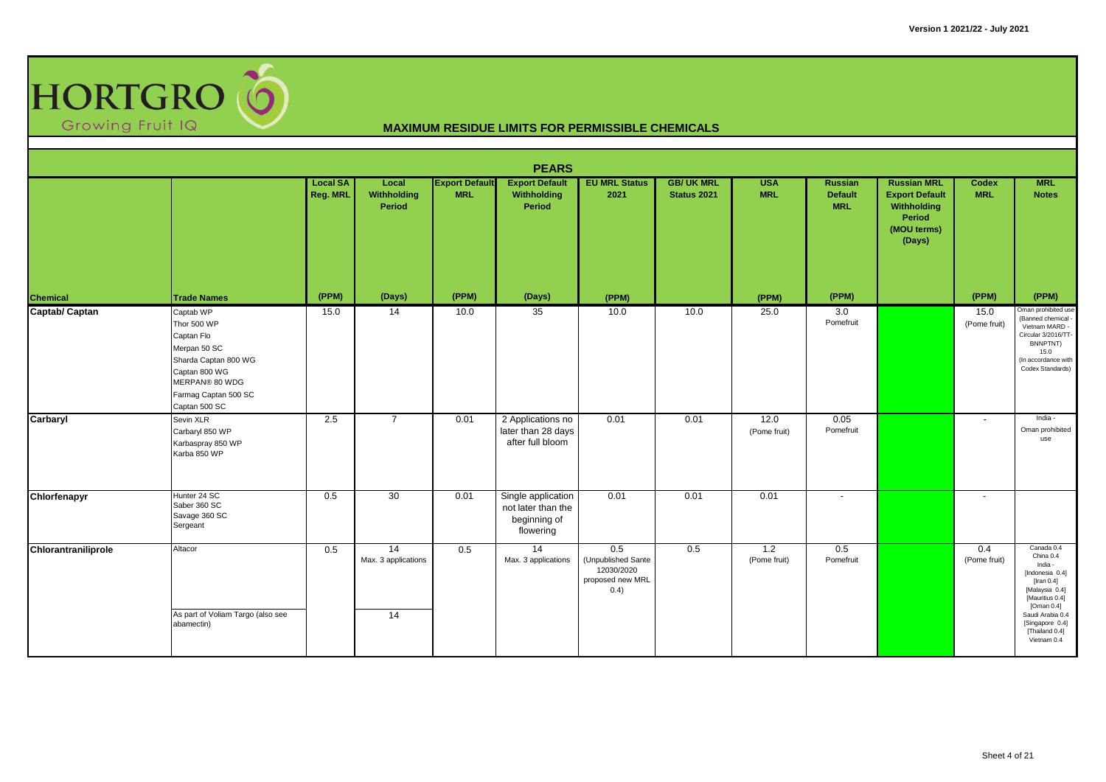

|                     |                                                                                                                                                            |                             |                                              |                                     | <b>PEARS</b>                                                          |                                                                     |                                  |                          |                                                |                                                                                               |                            |                                                                                                                                                                                                      |
|---------------------|------------------------------------------------------------------------------------------------------------------------------------------------------------|-----------------------------|----------------------------------------------|-------------------------------------|-----------------------------------------------------------------------|---------------------------------------------------------------------|----------------------------------|--------------------------|------------------------------------------------|-----------------------------------------------------------------------------------------------|----------------------------|------------------------------------------------------------------------------------------------------------------------------------------------------------------------------------------------------|
|                     |                                                                                                                                                            | <b>Local SA</b><br>Reg. MRL | Local<br>Withholding<br>Period               | <b>Export Default</b><br><b>MRL</b> | <b>Export Default</b><br>Withholding<br>Period                        | <b>EU MRL Status</b><br>2021                                        | <b>GB/ UK MRL</b><br>Status 2021 | <b>USA</b><br><b>MRL</b> | <b>Russian</b><br><b>Default</b><br><b>MRL</b> | <b>Russian MRL</b><br><b>Export Default</b><br>Withholding<br>Period<br>(MOU terms)<br>(Days) | <b>Codex</b><br><b>MRL</b> | <b>MRL</b><br><b>Notes</b>                                                                                                                                                                           |
| <b>Chemical</b>     | <b>Trade Names</b>                                                                                                                                         | (PPM)                       | (Days)                                       | (PPM)                               | (Days)                                                                | (PPM)                                                               |                                  | (PPM)                    | (PPM)                                          |                                                                                               | (PPM)                      | (PPM)                                                                                                                                                                                                |
| Captab/ Captan      | Captab WP<br>Thor 500 WP<br>Captan Flo<br>Merpan 50 SC<br>Sharda Captan 800 WG<br>Captan 800 WG<br>MERPAN® 80 WDG<br>Farmag Captan 500 SC<br>Captan 500 SC | 15.0                        | 14                                           | 10.0                                | 35                                                                    | 10.0                                                                | 10.0                             | 25.0                     | 3.0<br>Pomefruit                               |                                                                                               | 15.0<br>(Pome fruit)       | Oman prohibited use<br>(Banned chemical<br>Vietnam MARD -<br>Circular 3/2016/TT-<br>BNNPTNT)<br>15.0<br>(In accordance with<br>Codex Standards)                                                      |
| Carbaryl            | Sevin XLR<br>Carbaryl 850 WP<br>Karbaspray 850 WP<br>Karba 850 WP                                                                                          | 2.5                         | $\overline{7}$                               | 0.01                                | 2 Applications no<br>later than 28 days<br>after full bloom           | 0.01                                                                | 0.01                             | 12.0<br>(Pome fruit)     | 0.05<br>Pomefruit                              |                                                                                               | $\sim$                     | India -<br>Oman prohibited<br>use                                                                                                                                                                    |
| Chlorfenapyr        | Hunter 24 SC<br>Saber 360 SC<br>Savage 360 SC<br>Sergeant                                                                                                  | 0.5                         | 30                                           | 0.01                                | Single application<br>not later than the<br>beginning of<br>flowering | 0.01                                                                | 0.01                             | 0.01                     |                                                |                                                                                               | $\sim$                     |                                                                                                                                                                                                      |
| Chlorantraniliprole | Altacor<br>As part of Voliam Targo (also see<br>abamectin)                                                                                                 | 0.5                         | 14<br>Max. 3 applications<br>$\overline{14}$ | 0.5                                 | 14<br>Max. 3 applications                                             | 0.5<br>(Unpublished Sante<br>12030/2020<br>proposed new MRL<br>0.4) | 0.5                              | 1.2<br>(Pome fruit)      | 0.5<br>Pomefruit                               |                                                                                               | 0.4<br>(Pome fruit)        | Canada 0.4<br>China 0.4<br>India -<br>[Indonesia 0.4]<br>[Iran $0.4$ ]<br>[Malaysia 0.4]<br>[Mauritius 0.4]<br>[Oman $0.4$ ]<br>Saudi Arabia 0.4<br>[Singapore 0.4]<br>[Thailand 0.4]<br>Vietnam 0.4 |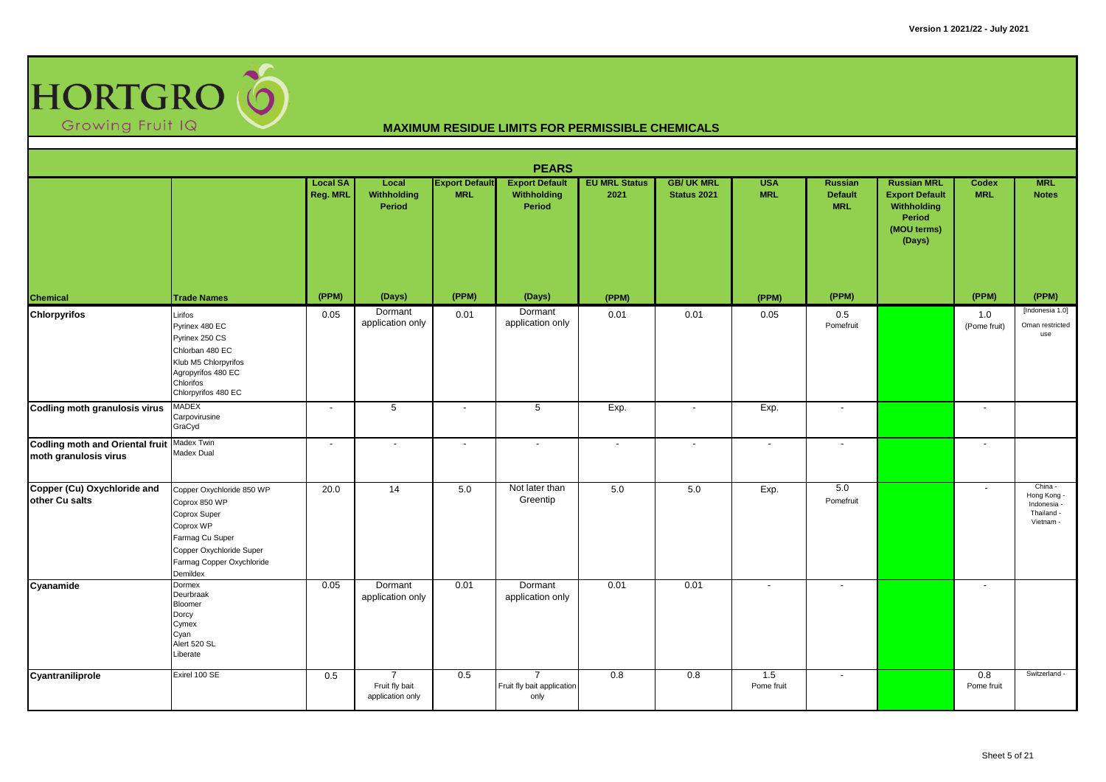

|                                                                     |                                                                                                                                                                 |                             |                                                      |                                     | <b>PEARS</b>                                         |                              |                                 |                          |                                         |                                                                                               |                          |                                                                |
|---------------------------------------------------------------------|-----------------------------------------------------------------------------------------------------------------------------------------------------------------|-----------------------------|------------------------------------------------------|-------------------------------------|------------------------------------------------------|------------------------------|---------------------------------|--------------------------|-----------------------------------------|-----------------------------------------------------------------------------------------------|--------------------------|----------------------------------------------------------------|
|                                                                     |                                                                                                                                                                 | <b>Local SA</b><br>Reg. MRL | Local<br>Withholding<br>Period                       | <b>Export Default</b><br><b>MRL</b> | <b>Export Default</b><br>Withholding<br>Period       | <b>EU MRL Status</b><br>2021 | <b>GB/UK MRL</b><br>Status 2021 | <b>USA</b><br><b>MRL</b> | Russian<br><b>Default</b><br><b>MRL</b> | <b>Russian MRL</b><br><b>Export Default</b><br>Withholding<br>Period<br>(MOU terms)<br>(Days) | Codex<br><b>MRL</b>      | <b>MRL</b><br><b>Notes</b>                                     |
| Chemical                                                            | <b>Trade Names</b>                                                                                                                                              | (PPM)                       | (Days)                                               | (PPM)                               | (Days)                                               | (PPM)                        |                                 | (PPM)                    | (PPM)                                   |                                                                                               | (PPM)                    | (PPM)                                                          |
| <b>Chlorpyrifos</b>                                                 | Lirifos<br>Pyrinex 480 EC<br>Pyrinex 250 CS<br>Chlorban 480 EC<br>Klub M5 Chlorpyrifos<br>Agropyrifos 480 EC<br>Chlorifos<br>Chlorpyrifos 480 EC                | 0.05                        | Dormant<br>application only                          | 0.01                                | Dormant<br>application only                          | 0.01                         | 0.01                            | 0.05                     | 0.5<br>Pomefruit                        |                                                                                               | 1.0<br>(Pome fruit)      | [Indonesia 1.0]<br>Oman restricted<br>use                      |
| <b>Codling moth granulosis virus</b>                                | <b>MADEX</b><br>Carpovirusine<br>GraCyd                                                                                                                         | $\overline{\phantom{a}}$    | 5                                                    | $\overline{\phantom{a}}$            | $5\phantom{.0}$                                      | Exp.                         |                                 | Exp.                     | $\overline{\phantom{a}}$                |                                                                                               |                          |                                                                |
| Codling moth and Oriental fruit Madex Twin<br>moth granulosis virus | Madex Dual                                                                                                                                                      | $\blacksquare$              | $\blacksquare$                                       | $\sim$                              | $\sim$                                               | $\blacksquare$               |                                 | $\blacksquare$           | $\blacksquare$                          |                                                                                               | $\overline{\phantom{a}}$ |                                                                |
| Copper (Cu) Oxychloride and<br>other Cu salts                       | Copper Oxychloride 850 WP<br>Coprox 850 WP<br>Coprox Super<br>Coprox WP<br>Farmag Cu Super<br>Copper Oxychloride Super<br>Farmag Copper Oxychloride<br>Demildex | 20.0                        | 14                                                   | 5.0                                 | Not later than<br>Greentip                           | 5.0                          | 5.0                             | Exp.                     | 5.0<br>Pomefruit                        |                                                                                               | $\mathbf{r}$             | China -<br>Hong Kong -<br>Indonesia<br>Thailand -<br>Vietnam - |
| Cyanamide                                                           | Dormex<br>Deurbraak<br><b>Bloomer</b><br>Dorcy<br>Cymex<br>Cyan<br>Alert 520 SL<br>Liberate                                                                     | 0.05                        | Dormant<br>application only                          | 0.01                                | Dormant<br>application only                          | 0.01                         | 0.01                            | $\blacksquare$           | $\overline{\phantom{a}}$                |                                                                                               | $\overline{\phantom{a}}$ |                                                                |
| Cyantraniliprole                                                    | Exirel 100 SE                                                                                                                                                   | 0.5                         | $\overline{7}$<br>Fruit fly bait<br>application only | 0.5                                 | $\overline{7}$<br>Fruit fly bait application<br>only | 0.8                          | 0.8                             | 1.5<br>Pome fruit        | $\overline{\phantom{a}}$                |                                                                                               | 0.8<br>Pome fruit        | Switzerland -                                                  |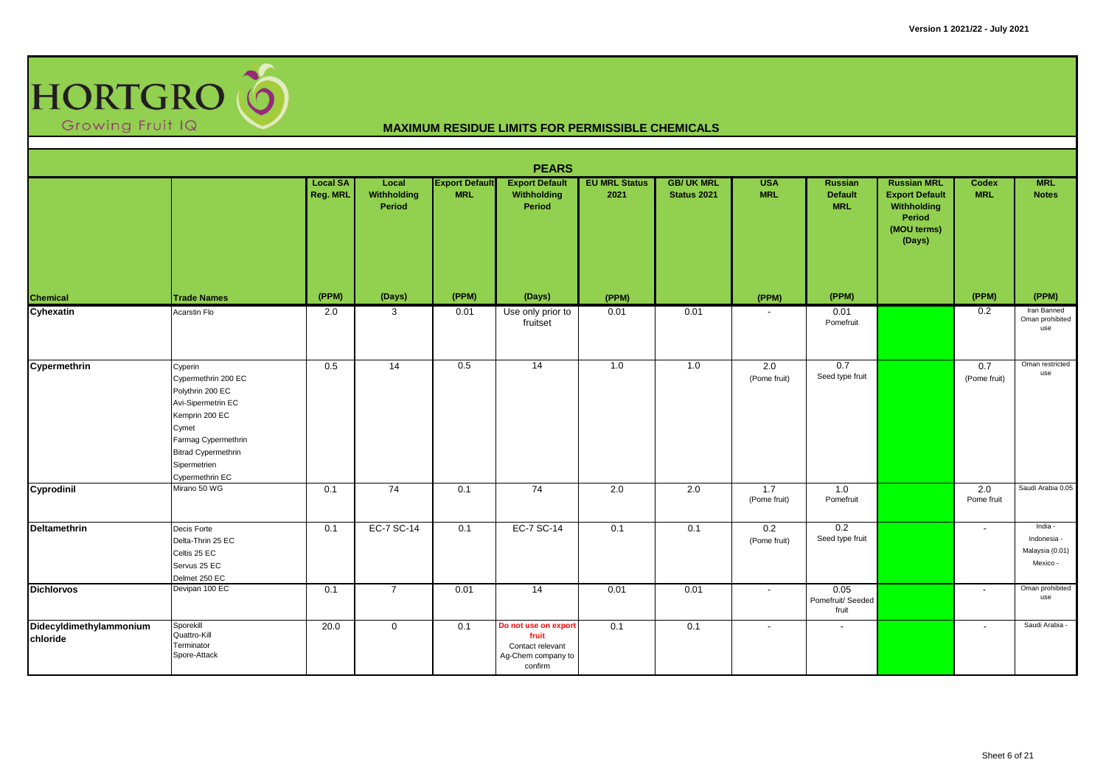

|                                     |                                                                                                                                                                                             |                             |                                |                                     | <b>PEARS</b>                                                                       |                              |                                         |                          |                                         |                                                                                               |                            |                                                       |
|-------------------------------------|---------------------------------------------------------------------------------------------------------------------------------------------------------------------------------------------|-----------------------------|--------------------------------|-------------------------------------|------------------------------------------------------------------------------------|------------------------------|-----------------------------------------|--------------------------|-----------------------------------------|-----------------------------------------------------------------------------------------------|----------------------------|-------------------------------------------------------|
|                                     |                                                                                                                                                                                             | <b>Local SA</b><br>Reg. MRL | Local<br>Withholding<br>Period | <b>Export Default</b><br><b>MRL</b> | <b>Export Default</b><br>Withholding<br>Period                                     | <b>EU MRL Status</b><br>2021 | <b>GB/ UK MRL</b><br><b>Status 2021</b> | <b>USA</b><br><b>MRL</b> | Russian<br><b>Default</b><br><b>MRL</b> | <b>Russian MRL</b><br><b>Export Default</b><br>Withholding<br>Period<br>(MOU terms)<br>(Days) | <b>Codex</b><br><b>MRL</b> | <b>MRL</b><br><b>Notes</b>                            |
| Chemical                            | <b>Trade Names</b>                                                                                                                                                                          | (PPM)                       | (Days)                         | (PPM)                               | (Days)                                                                             | (PPM)                        |                                         | (PPM)                    | (PPM)                                   |                                                                                               | (PPM)                      | (PPM)                                                 |
| Cyhexatin                           | Acarstin Flo                                                                                                                                                                                | 2.0                         | 3                              | 0.01                                | Use only prior to<br>fruitset                                                      | 0.01                         | 0.01                                    |                          | 0.01<br>Pomefruit                       |                                                                                               | 0.2                        | Iran Banned<br>Oman prohibited<br>use                 |
| Cypermethrin                        | Cyperin<br>Cypermethrin 200 EC<br>Polythrin 200 EC<br>Avi-Sipermetrin EC<br>Kemprin 200 EC<br>Cymet<br>Farmag Cypermethrin<br><b>Bitrad Cypermethrin</b><br>Sipermetrien<br>Cypermethrin EC | 0.5                         | 14                             | 0.5                                 | 14                                                                                 | 1.0                          | 1.0                                     | 2.0<br>(Pome fruit)      | 0.7<br>Seed type fruit                  |                                                                                               | 0.7<br>(Pome fruit)        | Oman restricted<br>use                                |
| Cyprodinil                          | Mirano 50 WG                                                                                                                                                                                | 0.1                         | $\overline{74}$                | 0.1                                 | $\overline{74}$                                                                    | 2.0                          | 2.0                                     | 1.7<br>(Pome fruit)      | 1.0<br>Pomefruit                        |                                                                                               | 2.0<br>Pome fruit          | Saudi Arabia 0.05                                     |
| <b>Deltamethrin</b>                 | Decis Forte<br>Delta-Thrin 25 EC<br>Celtis 25 EC<br>Servus 25 EC<br>Delmet 250 EC                                                                                                           | 0.1                         | EC-7 SC-14                     | 0.1                                 | EC-7 SC-14                                                                         | 0.1                          | 0.1                                     | 0.2<br>(Pome fruit)      | 0.2<br>Seed type fruit                  |                                                                                               | $\sim$                     | India -<br>Indonesia -<br>Malaysia (0.01)<br>Mexico - |
| <b>Dichlorvos</b>                   | Devipan 100 EC                                                                                                                                                                              | 0.1                         | $\overline{7}$                 | 0.01                                | 14                                                                                 | 0.01                         | 0.01                                    | $\blacksquare$           | 0.05<br>Pomefruit/ Seeded<br>fruit      |                                                                                               | $\overline{\phantom{a}}$   | Oman prohibited<br>use                                |
| Didecyldimethylammonium<br>chloride | Sporekill<br>Quattro-Kill<br>Terminator<br>Spore-Attack                                                                                                                                     | 20.0                        | $\overline{0}$                 | 0.1                                 | Do not use on export<br>fruit<br>Contact relevant<br>Ag-Chem company to<br>confirm | 0.1                          | 0.1                                     | $\blacksquare$           | $\sim$                                  |                                                                                               | $\sim$                     | Saudi Arabia -                                        |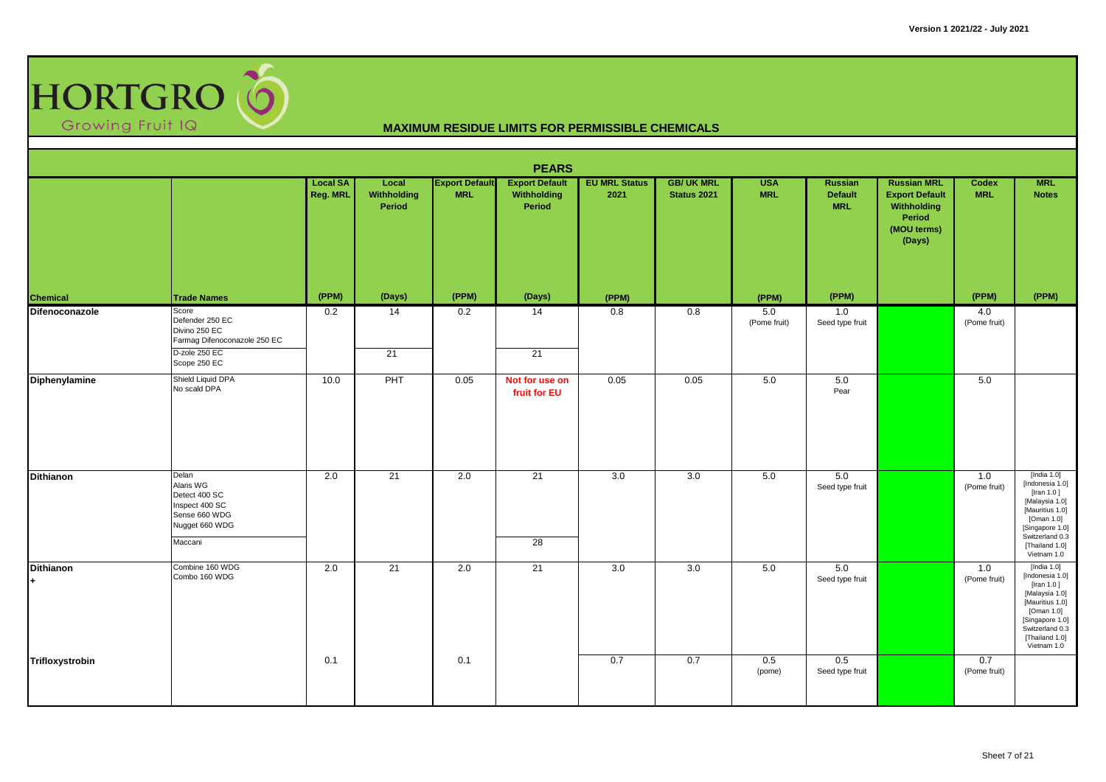

|                        |                                                                                                            |                             |                                |                                     | <b>PEARS</b>                                   |                              |                                        |                          |                                                |                                                                                               |                     |                                                                                                                                                                              |
|------------------------|------------------------------------------------------------------------------------------------------------|-----------------------------|--------------------------------|-------------------------------------|------------------------------------------------|------------------------------|----------------------------------------|--------------------------|------------------------------------------------|-----------------------------------------------------------------------------------------------|---------------------|------------------------------------------------------------------------------------------------------------------------------------------------------------------------------|
|                        |                                                                                                            | <b>Local SA</b><br>Reg. MRL | Local<br>Withholding<br>Period | <b>Export Default</b><br><b>MRL</b> | <b>Export Default</b><br>Withholding<br>Period | <b>EU MRL Status</b><br>2021 | <b>GB/UK MRL</b><br><b>Status 2021</b> | <b>USA</b><br><b>MRL</b> | <b>Russian</b><br><b>Default</b><br><b>MRL</b> | <b>Russian MRL</b><br><b>Export Default</b><br>Withholding<br>Period<br>(MOU terms)<br>(Days) | Codex<br><b>MRL</b> | <b>MRL</b><br><b>Notes</b>                                                                                                                                                   |
| Chemical               | <b>Trade Names</b>                                                                                         | (PPM)                       | (Days)                         | (PPM)                               | (Days)                                         | (PPM)                        |                                        | (PPM)                    | (PPM)                                          |                                                                                               | (PPM)               | (PPM)                                                                                                                                                                        |
| Difenoconazole         | Score<br>Defender 250 EC<br>Divino 250 EC<br>Farmag Difenoconazole 250 EC<br>D-zole 250 EC<br>Scope 250 EC | 0.2                         | 14<br>21                       | 0.2                                 | 14<br>21                                       | 0.8                          | 0.8                                    | 5.0<br>(Pome fruit)      | 1.0<br>Seed type fruit                         |                                                                                               | 4.0<br>(Pome fruit) |                                                                                                                                                                              |
| <b>Diphenylamine</b>   | Shield Liquid DPA<br>No scald DPA                                                                          | 10.0                        | PHT                            | 0.05                                | Not for use on<br>fruit for EU                 | 0.05                         | 0.05                                   | 5.0                      | 5.0<br>Pear                                    |                                                                                               | 5.0                 |                                                                                                                                                                              |
| Dithianon              | Delan<br>Alaris WG<br>Detect 400 SC<br>Inspect 400 SC<br>Sense 660 WDG<br>Nugget 660 WDG<br>Maccani        | 2.0                         | 21                             | 2.0                                 | $\overline{21}$<br>$\overline{28}$             | 3.0                          | 3.0                                    | 5.0                      | 5.0<br>Seed type fruit                         |                                                                                               | 1.0<br>(Pome fruit) | [India $1.0$ ]<br>[Indonesia 1.0]<br>[Iran $1.0$ ]<br>[Malaysia 1.0]<br>[Mauritius 1.0]<br>[Oman 1.0]<br>[Singapore 1.0]<br>Switzerland 0.3<br>[Thailand 1.0]<br>Vietnam 1.0 |
| <b>Dithianon</b><br>l+ | Combine 160 WDG<br>Combo 160 WDG                                                                           | 2.0                         | 21                             | 2.0                                 | 21                                             | 3.0                          | 3.0                                    | 5.0                      | 5.0<br>Seed type fruit                         |                                                                                               | 1.0<br>(Pome fruit) | [India 1.0]<br>[Indonesia 1.0]<br>[Iran 1.0]<br>[Malaysia 1.0]<br>[Mauritius 1.0]<br>[Oman 1.0]<br>[Singapore 1.0]<br>Switzerland 0.3<br>[Thailand 1.0]<br>Vietnam 1.0       |
| Trifloxystrobin        |                                                                                                            | 0.1                         |                                | 0.1                                 |                                                | 0.7                          | 0.7                                    | 0.5<br>(pome)            | 0.5<br>Seed type fruit                         |                                                                                               | 0.7<br>(Pome fruit) |                                                                                                                                                                              |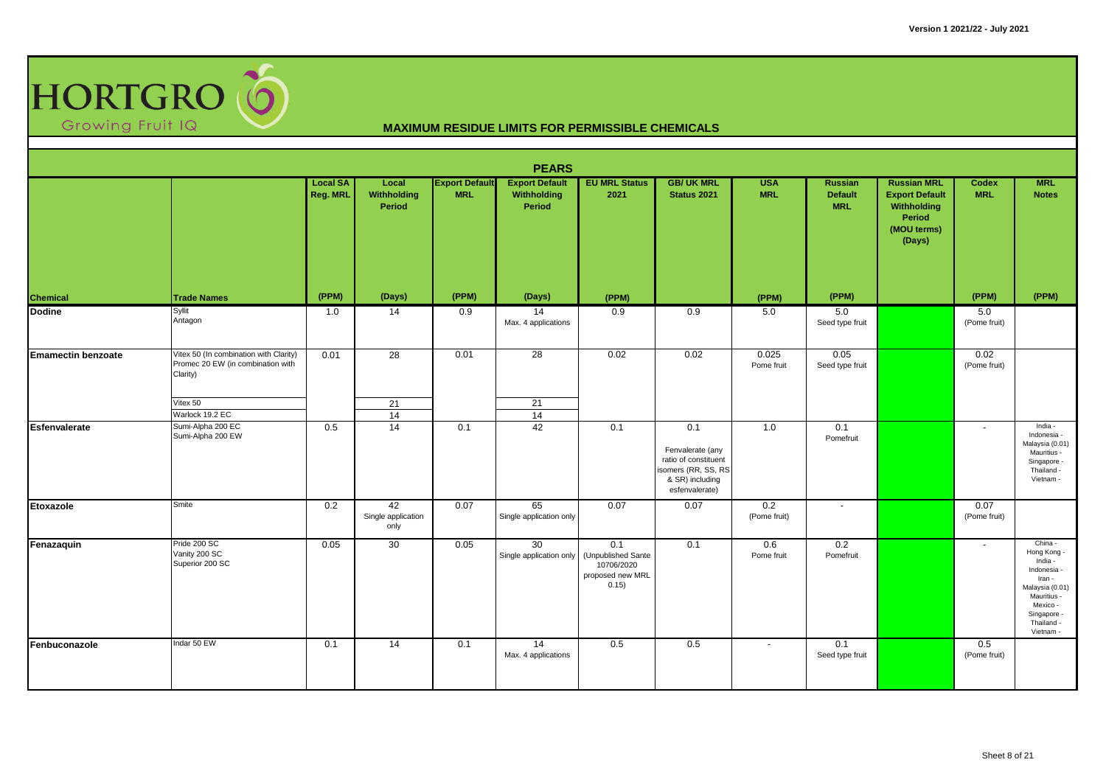

|                           | <b>PEARS</b><br><b>EU MRL Status</b><br><b>Local SA</b><br><b>GB/ UK MRL</b><br><b>USA</b><br><b>Russian MRL</b><br><b>MRL</b><br>Local<br><b>Export Default</b><br><b>Export Default</b><br><b>Russian</b><br>Codex |          |                                  |            |                               |                                                                      |                                                                                                             |                          |                              |                                                                         |                      |                                                                                                                                                    |  |  |  |
|---------------------------|----------------------------------------------------------------------------------------------------------------------------------------------------------------------------------------------------------------------|----------|----------------------------------|------------|-------------------------------|----------------------------------------------------------------------|-------------------------------------------------------------------------------------------------------------|--------------------------|------------------------------|-------------------------------------------------------------------------|----------------------|----------------------------------------------------------------------------------------------------------------------------------------------------|--|--|--|
|                           |                                                                                                                                                                                                                      | Reg. MRL | Withholding<br>Period            | <b>MRL</b> | Withholding<br>Period         | 2021                                                                 | <b>Status 2021</b>                                                                                          | <b>MRL</b>               | <b>Default</b><br><b>MRL</b> | <b>Export Default</b><br>Withholding<br>Period<br>(MOU terms)<br>(Days) | <b>MRL</b>           | <b>Notes</b>                                                                                                                                       |  |  |  |
| Chemical                  | <b>Trade Names</b>                                                                                                                                                                                                   | (PPM)    | (Days)                           | (PPM)      | (Days)                        | (PPM)                                                                |                                                                                                             | (PPM)                    | (PPM)                        |                                                                         | (PPM)                | (PPM)                                                                                                                                              |  |  |  |
| <b>Dodine</b>             | Syllit<br>Antagon                                                                                                                                                                                                    | 1.0      | 14                               | 0.9        | 14<br>Max. 4 applications     | 0.9                                                                  | 0.9                                                                                                         | 5.0                      | 5.0<br>Seed type fruit       |                                                                         | 5.0<br>(Pome fruit)  |                                                                                                                                                    |  |  |  |
| <b>Emamectin benzoate</b> | Vitex 50 (In combination with Clarity)<br>Promec 20 EW (in combination with<br>Clarity)<br>Vitex 50                                                                                                                  | 0.01     | 28<br>21                         | 0.01       | 28<br>21                      | 0.02                                                                 | 0.02                                                                                                        | 0.025<br>Pome fruit      | 0.05<br>Seed type fruit      |                                                                         | 0.02<br>(Pome fruit) |                                                                                                                                                    |  |  |  |
|                           | Warlock 19.2 EC                                                                                                                                                                                                      |          | 14                               |            | 14                            |                                                                      |                                                                                                             |                          |                              |                                                                         |                      |                                                                                                                                                    |  |  |  |
| <b>Esfenvalerate</b>      | Sumi-Alpha 200 EC<br>Sumi-Alpha 200 EW                                                                                                                                                                               | 0.5      | 14                               | 0.1        | 42                            | 0.1                                                                  | 0.1<br>Fenvalerate (any<br>ratio of constituent<br>isomers (RR, SS, RS<br>& SR) including<br>esfenvalerate) | 1.0                      | 0.1<br>Pomefruit             |                                                                         | $\sim$               | India -<br>Indonesia -<br>Malaysia (0.01)<br>Mauritius -<br>Singapore -<br>Thailand -<br>Vietnam -                                                 |  |  |  |
| Etoxazole                 | Smite                                                                                                                                                                                                                | 0.2      | 42<br>Single application<br>only | 0.07       | 65<br>Single application only | 0.07                                                                 | 0.07                                                                                                        | 0.2<br>(Pome fruit)      | $\overline{\phantom{a}}$     |                                                                         | 0.07<br>(Pome fruit) |                                                                                                                                                    |  |  |  |
| Fenazaquin                | Pride 200 SC<br>Vanity 200 SC<br>Superior 200 SC                                                                                                                                                                     | 0.05     | 30                               | 0.05       | 30<br>Single application only | 0.1<br>(Unpublished Sante<br>10706/2020<br>proposed new MRL<br>0.15) | 0.1                                                                                                         | 0.6<br>Pome fruit        | 0.2<br>Pomefruit             |                                                                         | $\blacksquare$       | China -<br>Hong Kong -<br>India -<br>Indonesia -<br>Iran -<br>Malaysia (0.01)<br>Mauritius -<br>Mexico -<br>Singapore -<br>Thailand -<br>Vietnam - |  |  |  |
| Fenbuconazole             | Indar 50 EW                                                                                                                                                                                                          | 0.1      | 14                               | 0.1        | 14<br>Max. 4 applications     | 0.5                                                                  | 0.5                                                                                                         | $\overline{\phantom{a}}$ | 0.1<br>Seed type fruit       |                                                                         | 0.5<br>(Pome fruit)  |                                                                                                                                                    |  |  |  |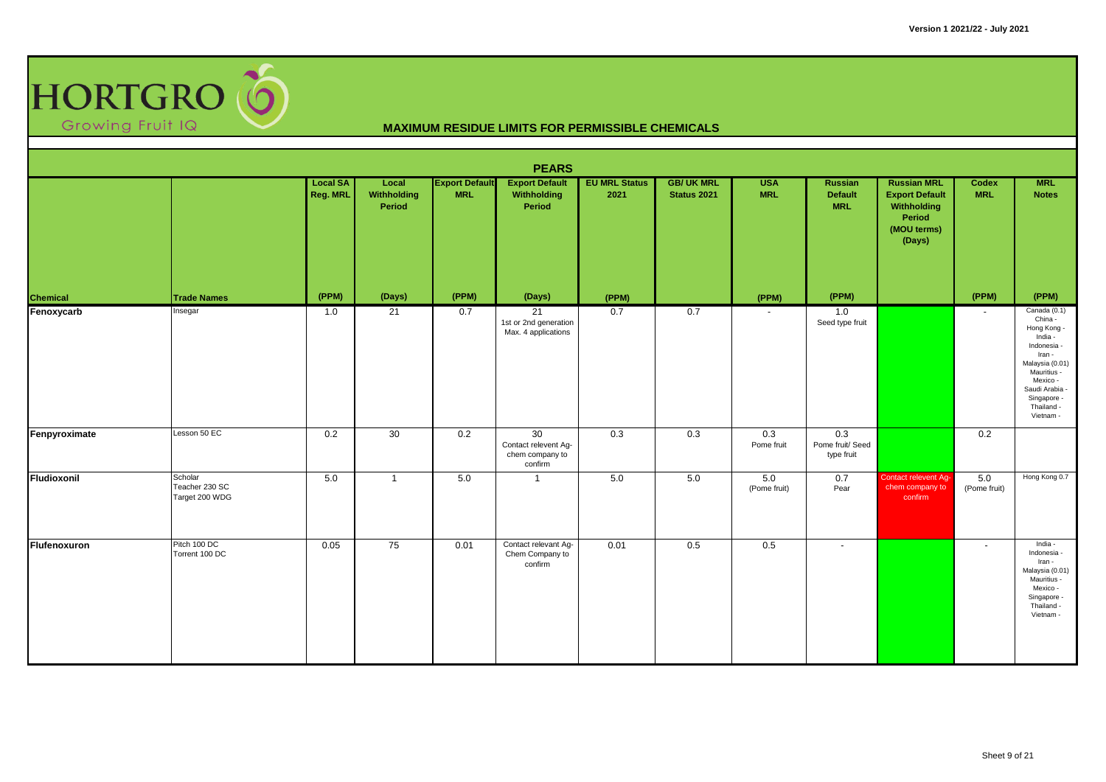

|               |                                             |                             |                                |                                     | <b>PEARS</b>                                             |                              |                                         |                          |                                                |                                                                                               |                          |                                                                                                                                                                                    |
|---------------|---------------------------------------------|-----------------------------|--------------------------------|-------------------------------------|----------------------------------------------------------|------------------------------|-----------------------------------------|--------------------------|------------------------------------------------|-----------------------------------------------------------------------------------------------|--------------------------|------------------------------------------------------------------------------------------------------------------------------------------------------------------------------------|
|               |                                             | <b>Local SA</b><br>Reg. MRL | Local<br>Withholding<br>Period | <b>Export Default</b><br><b>MRL</b> | <b>Export Default</b><br>Withholding<br>Period           | <b>EU MRL Status</b><br>2021 | <b>GB/ UK MRL</b><br><b>Status 2021</b> | <b>USA</b><br><b>MRL</b> | <b>Russian</b><br><b>Default</b><br><b>MRL</b> | <b>Russian MRL</b><br><b>Export Default</b><br>Withholding<br>Period<br>(MOU terms)<br>(Days) | Codex<br><b>MRL</b>      | <b>MRL</b><br><b>Notes</b>                                                                                                                                                         |
| Chemical      | <b>Trade Names</b>                          | (PPM)                       | (Days)                         | (PPM)                               | (Days)                                                   | (PPM)                        |                                         | (PPM)                    | (PPM)                                          |                                                                                               | (PPM)                    | (PPM)                                                                                                                                                                              |
| Fenoxycarb    | Insegar                                     | 1.0                         | 21                             | 0.7                                 | 21<br>1st or 2nd generation<br>Max. 4 applications       | 0.7                          | 0.7                                     |                          | 1.0<br>Seed type fruit                         |                                                                                               | $\sim$                   | Canada (0.1)<br>China -<br>Hong Kong -<br>India -<br>Indonesia -<br>Iran -<br>Malaysia (0.01)<br>Mauritius -<br>Mexico -<br>Saudi Arabia<br>Singapore -<br>Thailand -<br>Vietnam - |
| Fenpyroximate | Lesson 50 EC                                | 0.2                         | 30                             | 0.2                                 | 30<br>Contact relevent Ag-<br>chem company to<br>confirm | 0.3                          | 0.3                                     | 0.3<br>Pome fruit        | 0.3<br>Pome fruit/ Seed<br>type fruit          |                                                                                               | 0.2                      |                                                                                                                                                                                    |
| Fludioxonil   | Scholar<br>Teacher 230 SC<br>Target 200 WDG | 5.0                         | $\mathbf{1}$                   | 5.0                                 | $\overline{1}$                                           | 5.0                          | 5.0                                     | 5.0<br>(Pome fruit)      | 0.7<br>Pear                                    | Contact relevent Ag-<br>chem company to<br>confirm                                            | 5.0<br>(Pome fruit)      | Hong Kong 0.7                                                                                                                                                                      |
| Flufenoxuron  | Pitch 100 DC<br>Torrent 100 DC              | 0.05                        | 75                             | 0.01                                | Contact relevant Ag-<br>Chem Company to<br>confirm       | 0.01                         | 0.5                                     | 0.5                      | $\overline{\phantom{a}}$                       |                                                                                               | $\overline{\phantom{a}}$ | India -<br>Indonesia -<br>Iran -<br>Malaysia (0.01)<br>Mauritius -<br>Mexico -<br>Singapore -<br>Thailand -<br>Vietnam -                                                           |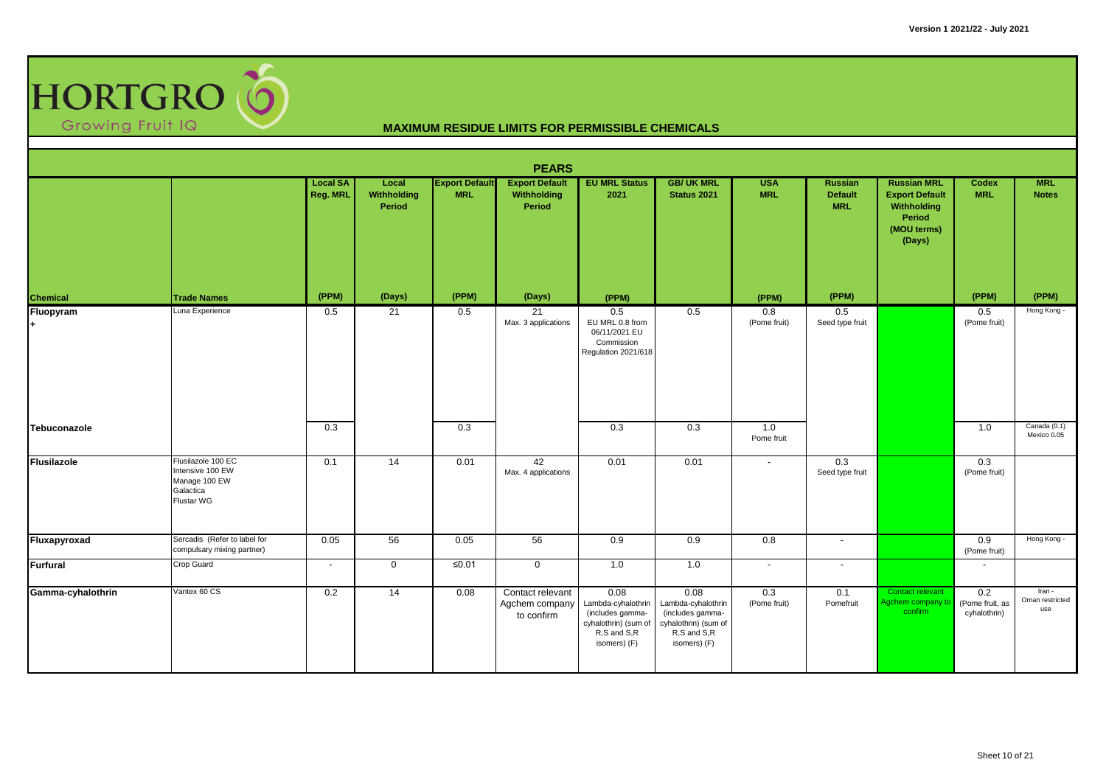

|                    |                                                                                    |                             |                                |                                     | <b>PEARS</b>                                     |                                                                                                       |                                                                                                       |                          |                                                |                                                                                               |                                        |                                  |
|--------------------|------------------------------------------------------------------------------------|-----------------------------|--------------------------------|-------------------------------------|--------------------------------------------------|-------------------------------------------------------------------------------------------------------|-------------------------------------------------------------------------------------------------------|--------------------------|------------------------------------------------|-----------------------------------------------------------------------------------------------|----------------------------------------|----------------------------------|
|                    |                                                                                    | <b>Local SA</b><br>Reg. MRL | Local<br>Withholding<br>Period | <b>Export Default</b><br><b>MRL</b> | <b>Export Default</b><br>Withholding<br>Period   | <b>EU MRL Status</b><br>2021                                                                          | <b>GB/ UK MRL</b><br>Status 2021                                                                      | <b>USA</b><br><b>MRL</b> | <b>Russian</b><br><b>Default</b><br><b>MRL</b> | <b>Russian MRL</b><br><b>Export Default</b><br>Withholding<br>Period<br>(MOU terms)<br>(Days) | <b>Codex</b><br><b>MRL</b>             | <b>MRL</b><br><b>Notes</b>       |
| Chemical           | <b>Trade Names</b>                                                                 | (PPM)                       | (Days)                         | (PPM)                               | (Days)                                           | (PPM)                                                                                                 |                                                                                                       | (PPM)                    | (PPM)                                          |                                                                                               | (PPM)                                  | (PPM)                            |
| Fluopyram          | Luna Experience                                                                    | 0.5                         | 21                             | 0.5                                 | 21<br>Max. 3 applications                        | 0.5<br>EU MRL 0.8 from<br>06/11/2021 EU<br>Commission<br>Regulation 2021/618                          | 0.5                                                                                                   | 0.8<br>(Pome fruit)      | 0.5<br>Seed type fruit                         |                                                                                               | 0.5<br>(Pome fruit)                    | Hong Kong -                      |
| Tebuconazole       |                                                                                    | 0.3                         |                                | 0.3                                 |                                                  | 0.3                                                                                                   | 0.3                                                                                                   | 1.0<br>Pome fruit        |                                                |                                                                                               | 1.0                                    | Canada (0.1)<br>Mexico 0.05      |
| <b>Flusilazole</b> | Flusilazole 100 EC<br>Intensive 100 EW<br>Manage 100 EW<br>Galactica<br>Flustar WG | 0.1                         | 14                             | 0.01                                | 42<br>Max. 4 applications                        | 0.01                                                                                                  | 0.01                                                                                                  | $\blacksquare$           | 0.3<br>Seed type fruit                         |                                                                                               | 0.3<br>(Pome fruit)                    |                                  |
| Fluxapyroxad       | Sercadis (Refer to label for<br>compulsary mixing partner)                         | 0.05                        | 56                             | 0.05                                | 56                                               | 0.9                                                                                                   | 0.9                                                                                                   | 0.8                      | $\sim$                                         |                                                                                               | 0.9<br>(Pome fruit)                    | Hong Kong -                      |
| <b>Furfural</b>    | Crop Guard                                                                         | $\sim$                      | $\mathbf 0$                    | ≤0.01                               | $\mathbf 0$                                      | 1.0                                                                                                   | 1.0                                                                                                   | $\blacksquare$           | $\sim$                                         |                                                                                               | $\sim$                                 |                                  |
| Gamma-cyhalothrin  | Vantex 60 CS                                                                       | 0.2                         | 14                             | 0.08                                | Contact relevant<br>Agchem company<br>to confirm | 0.08<br>Lambda-cyhalothrin<br>(includes gamma-<br>cyhalothrin) (sum of<br>R,S and S,R<br>isomers) (F) | 0.08<br>Lambda-cyhalothrin<br>(includes gamma-<br>cyhalothrin) (sum of<br>R,S and S,R<br>isomers) (F) | 0.3<br>(Pome fruit)      | 0.1<br>Pomefruit                               | Contact relevant<br>Agchem company to<br>confirm                                              | 0.2<br>(Pome fruit, as<br>cyhalothrin) | Iran -<br>Oman restricted<br>use |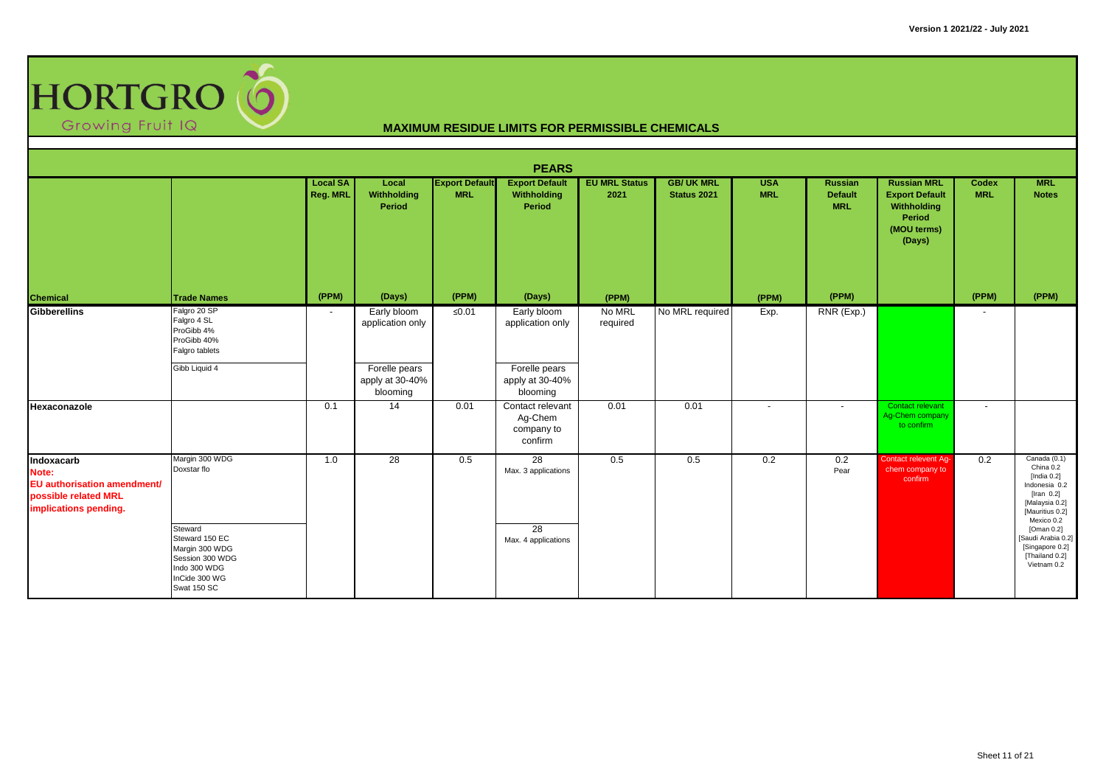

|                                                                                                     |                                                                                                                |                             |                                              |                                     | <b>PEARS</b>                                         |                              |                                 |                          |                                                |                                                                                               |                            |                                                                                                                                  |
|-----------------------------------------------------------------------------------------------------|----------------------------------------------------------------------------------------------------------------|-----------------------------|----------------------------------------------|-------------------------------------|------------------------------------------------------|------------------------------|---------------------------------|--------------------------|------------------------------------------------|-----------------------------------------------------------------------------------------------|----------------------------|----------------------------------------------------------------------------------------------------------------------------------|
|                                                                                                     |                                                                                                                | <b>Local SA</b><br>Reg. MRL | Local<br>Withholding<br>Period               | <b>Export Default</b><br><b>MRL</b> | <b>Export Default</b><br>Withholding<br>Period       | <b>EU MRL Status</b><br>2021 | <b>GB/UK MRL</b><br>Status 2021 | <b>USA</b><br><b>MRL</b> | <b>Russian</b><br><b>Default</b><br><b>MRL</b> | <b>Russian MRL</b><br><b>Export Default</b><br>Withholding<br>Period<br>(MOU terms)<br>(Days) | <b>Codex</b><br><b>MRL</b> | <b>MRL</b><br><b>Notes</b>                                                                                                       |
| Chemical                                                                                            | <b>Trade Names</b>                                                                                             | (PPM)                       | (Days)                                       | (PPM)                               | (Days)                                               | (PPM)                        |                                 | (PPM)                    | (PPM)                                          |                                                                                               | (PPM)                      | (PPM)                                                                                                                            |
| <b>Gibberellins</b>                                                                                 | Falgro 20 SP<br>Falgro 4 SL<br>ProGibb 4%<br>ProGibb 40%<br>Falgro tablets                                     | $\overline{\phantom{a}}$    | Early bloom<br>application only              | $\leq 0.01$                         | Early bloom<br>application only                      | No MRL<br>required           | No MRL required                 | Exp.                     | RNR (Exp.)                                     |                                                                                               | $\sim$                     |                                                                                                                                  |
|                                                                                                     | Gibb Liquid 4                                                                                                  |                             | Forelle pears<br>apply at 30-40%<br>blooming |                                     | Forelle pears<br>apply at 30-40%<br>blooming         |                              |                                 |                          |                                                |                                                                                               |                            |                                                                                                                                  |
| Hexaconazole                                                                                        |                                                                                                                | 0.1                         | 14                                           | 0.01                                | Contact relevant<br>Ag-Chem<br>company to<br>confirm | 0.01                         | 0.01                            | $\blacksquare$           | $\sim$                                         | Contact relevant<br>Ag-Chem company<br>to confirm                                             | $\sim$                     |                                                                                                                                  |
| Indoxacarb<br>Note:<br>EU authorisation amendment/<br>possible related MRL<br>implications pending. | Margin 300 WDG<br>Doxstar flo                                                                                  | 1.0                         | 28                                           | 0.5                                 | 28<br>Max. 3 applications                            | 0.5                          | 0.5                             | 0.2                      | 0.2<br>Pear                                    | Contact relevent Ag-<br>chem company to<br>confirm                                            | 0.2                        | Canada (0.1)<br>China 0.2<br>[India $0.2$ ]<br>Indonesia 0.2<br>[Iran $0.2$ ]<br>[Malaysia 0.2]<br>[Mauritius 0.2]<br>Mexico 0.2 |
|                                                                                                     | Steward<br>Steward 150 EC<br>Margin 300 WDG<br>Session 300 WDG<br>Indo 300 WDG<br>InCide 300 WG<br>Swat 150 SC |                             |                                              |                                     | 28<br>Max. 4 applications                            |                              |                                 |                          |                                                |                                                                                               |                            | [Oman $0.2$ ]<br>[Saudi Arabia 0.2]<br>[Singapore 0.2]<br>[Thailand 0.2]<br>Vietnam 0.2                                          |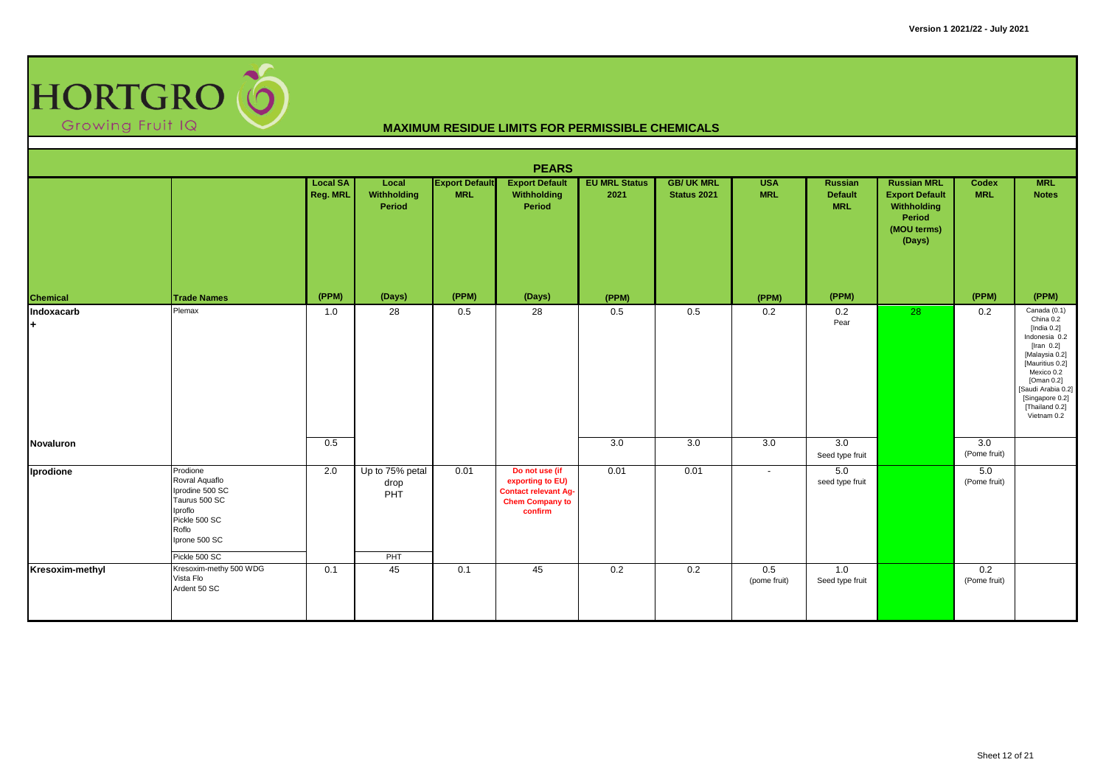

|                  |                                                                                                                                       |                             |                                       |                                     | <b>PEARS</b>                                                                                           |                              |                                  |                          |                                         |                                                                                               |                            |                                                                                                                                                                                                                          |
|------------------|---------------------------------------------------------------------------------------------------------------------------------------|-----------------------------|---------------------------------------|-------------------------------------|--------------------------------------------------------------------------------------------------------|------------------------------|----------------------------------|--------------------------|-----------------------------------------|-----------------------------------------------------------------------------------------------|----------------------------|--------------------------------------------------------------------------------------------------------------------------------------------------------------------------------------------------------------------------|
|                  |                                                                                                                                       | <b>Local SA</b><br>Reg. MRL | Local<br>Withholding<br>Period        | <b>Export Default</b><br><b>MRL</b> | <b>Export Default</b><br>Withholding<br>Period                                                         | <b>EU MRL Status</b><br>2021 | <b>GB/ UK MRL</b><br>Status 2021 | <b>USA</b><br><b>MRL</b> | Russian<br><b>Default</b><br><b>MRL</b> | <b>Russian MRL</b><br><b>Export Default</b><br>Withholding<br>Period<br>(MOU terms)<br>(Days) | <b>Codex</b><br><b>MRL</b> | <b>MRL</b><br><b>Notes</b>                                                                                                                                                                                               |
| Chemical         | <b>Trade Names</b>                                                                                                                    | (PPM)                       | (Days)                                | (PPM)                               | (Days)                                                                                                 | (PPM)                        |                                  | (PPM)                    | (PPM)                                   |                                                                                               | (PPM)                      | (PPM)                                                                                                                                                                                                                    |
| Indoxacarb<br>H. | Plemax                                                                                                                                | 1.0                         | 28                                    | 0.5                                 | 28                                                                                                     | 0.5                          | 0.5                              | 0.2                      | 0.2<br>Pear                             | 28                                                                                            | 0.2                        | Canada (0.1)<br>China 0.2<br>[India $0.2$ ]<br>Indonesia 0.2<br>[Iran $0.2$ ]<br>[Malaysia 0.2]<br>[Mauritius 0.2]<br>Mexico 0.2<br>[Oman 0.2]<br>[Saudi Arabia 0.2]<br>[Singapore 0.2]<br>[Thailand 0.2]<br>Vietnam 0.2 |
| Novaluron        |                                                                                                                                       | 0.5                         |                                       |                                     |                                                                                                        | 3.0                          | 3.0                              | 3.0                      | 3.0<br>Seed type fruit                  |                                                                                               | 3.0<br>(Pome fruit)        |                                                                                                                                                                                                                          |
| Iprodione        | Prodione<br>Rovral Aquaflo<br>Iprodine 500 SC<br>Taurus 500 SC<br>Iproflo<br>Pickle 500 SC<br>Roflo<br>Iprone 500 SC<br>Pickle 500 SC | 2.0                         | Up to 75% petal<br>drop<br>PHT<br>PHT | 0.01                                | Do not use (if<br>exporting to EU)<br><b>Contact relevant Ag-</b><br><b>Chem Company to</b><br>confirm | 0.01                         | 0.01                             | $\sim$                   | 5.0<br>seed type fruit                  |                                                                                               | 5.0<br>(Pome fruit)        |                                                                                                                                                                                                                          |
| Kresoxim-methyl  | Kresoxim-methy 500 WDG<br>Vista Flo<br>Ardent 50 SC                                                                                   | 0.1                         | 45                                    | 0.1                                 | 45                                                                                                     | 0.2                          | 0.2                              | 0.5<br>(pome fruit)      | 1.0<br>Seed type fruit                  |                                                                                               | 0.2<br>(Pome fruit)        |                                                                                                                                                                                                                          |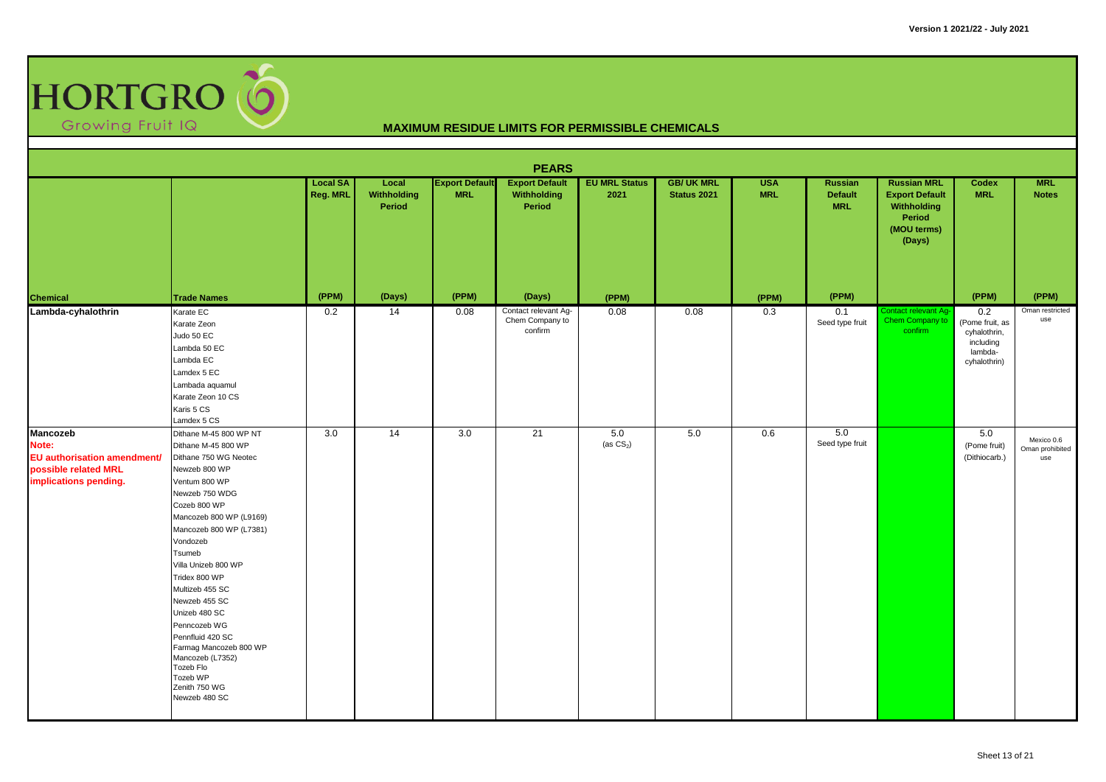

|                                                                                                          | <b>PEARS</b>                                                                                                                                                                                                                                                                                                                                                                                                                                                     |                                    |                                |                                     |                                                    |                              |                                  |                          |                                                |                                                                                               |                                                                                |                                      |  |  |
|----------------------------------------------------------------------------------------------------------|------------------------------------------------------------------------------------------------------------------------------------------------------------------------------------------------------------------------------------------------------------------------------------------------------------------------------------------------------------------------------------------------------------------------------------------------------------------|------------------------------------|--------------------------------|-------------------------------------|----------------------------------------------------|------------------------------|----------------------------------|--------------------------|------------------------------------------------|-----------------------------------------------------------------------------------------------|--------------------------------------------------------------------------------|--------------------------------------|--|--|
|                                                                                                          |                                                                                                                                                                                                                                                                                                                                                                                                                                                                  | <b>Local SA</b><br><b>Reg. MRL</b> | Local<br>Withholding<br>Period | <b>Export Default</b><br><b>MRL</b> | <b>Export Default</b><br>Withholding<br>Period     | <b>EU MRL Status</b><br>2021 | <b>GB/ UK MRL</b><br>Status 2021 | <b>USA</b><br><b>MRL</b> | <b>Russian</b><br><b>Default</b><br><b>MRL</b> | <b>Russian MRL</b><br><b>Export Default</b><br>Withholding<br>Period<br>(MOU terms)<br>(Days) | Codex<br><b>MRL</b>                                                            | <b>MRL</b><br><b>Notes</b>           |  |  |
| <b>Chemical</b>                                                                                          | <b>Trade Names</b>                                                                                                                                                                                                                                                                                                                                                                                                                                               | (PPM)                              | (Days)                         | (PPM)                               | (Days)                                             | (PPM)                        |                                  | (PPM)                    | (PPM)                                          |                                                                                               | (PPM)                                                                          | (PPM)                                |  |  |
| Lambda-cyhalothrin                                                                                       | Karate EC<br>Karate Zeon<br>Judo 50 EC<br>Lambda 50 EC<br>Lambda EC<br>Lamdex 5 EC<br>Lambada aquamul<br>Karate Zeon 10 CS<br>Karis 5 CS<br>Lamdex 5 CS                                                                                                                                                                                                                                                                                                          | 0.2                                | $\overline{14}$                | 0.08                                | Contact relevant Ag-<br>Chem Company to<br>confirm | 0.08                         | 0.08                             | 0.3                      | 0.1<br>Seed type fruit                         | Contact relevant Ag-<br>Chem Company to<br>confirm                                            | 0.2<br>(Pome fruit, as<br>cyhalothrin,<br>including<br>lambda-<br>cyhalothrin) | Oman restricted<br>use               |  |  |
| <b>Mancozeb</b><br>Note:<br>EU authorisation amendment/<br>possible related MRL<br>implications pending. | Dithane M-45 800 WP NT<br>Dithane M-45 800 WP<br>Dithane 750 WG Neotec<br>Newzeb 800 WP<br>Ventum 800 WP<br>Newzeb 750 WDG<br>Cozeb 800 WP<br>Mancozeb 800 WP (L9169)<br>Mancozeb 800 WP (L7381)<br>Vondozeb<br>Tsumeb<br>Villa Unizeb 800 WP<br>Tridex 800 WP<br>Multizeb 455 SC<br>Newzeb 455 SC<br>Unizeb 480 SC<br>Penncozeb WG<br>Pennfluid 420 SC<br>Farmag Mancozeb 800 WP<br>Mancozeb (L7352)<br>Tozeb Flo<br>Tozeb WP<br>Zenith 750 WG<br>Newzeb 480 SC | $\overline{3.0}$                   | 14                             | 3.0                                 | 21                                                 | 5.0<br>(as $CS_2$ )          | 5.0                              | 0.6                      | 5.0<br>Seed type fruit                         |                                                                                               | 5.0<br>(Pome fruit)<br>(Dithiocarb.)                                           | Mexico 0.6<br>Oman prohibited<br>use |  |  |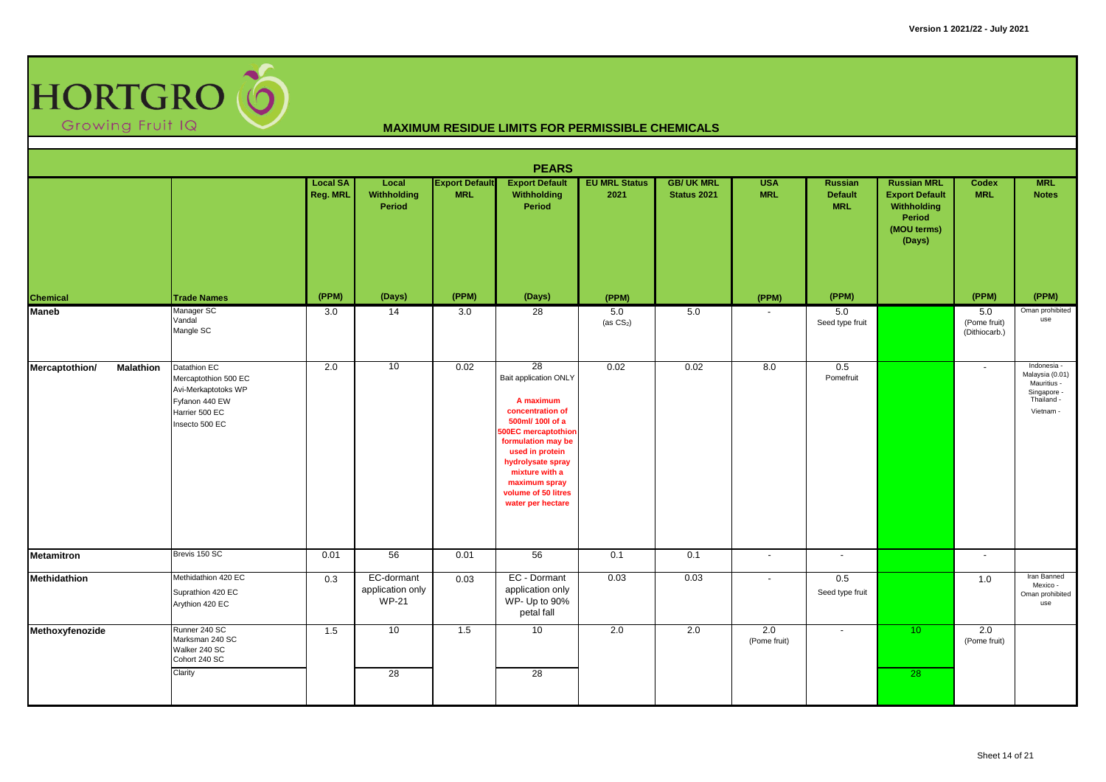

| <b>PEARS</b>                       |                                                                                                                   |                             |                                                |                                     |                                                                                                                                                                                                                                                      |                              |                                        |                          |                                         |                                                                                               |                                      |                                                                                         |  |
|------------------------------------|-------------------------------------------------------------------------------------------------------------------|-----------------------------|------------------------------------------------|-------------------------------------|------------------------------------------------------------------------------------------------------------------------------------------------------------------------------------------------------------------------------------------------------|------------------------------|----------------------------------------|--------------------------|-----------------------------------------|-----------------------------------------------------------------------------------------------|--------------------------------------|-----------------------------------------------------------------------------------------|--|
|                                    |                                                                                                                   | <b>Local SA</b><br>Reg. MRL | Local<br><b>Withholding</b><br>Period          | <b>Export Default</b><br><b>MRL</b> | <b>Export Default</b><br>Withholding<br>Period                                                                                                                                                                                                       | <b>EU MRL Status</b><br>2021 | <b>GB/UK MRL</b><br><b>Status 2021</b> | <b>USA</b><br><b>MRL</b> | Russian<br><b>Default</b><br><b>MRL</b> | <b>Russian MRL</b><br><b>Export Default</b><br>Withholding<br>Period<br>(MOU terms)<br>(Days) | Codex<br><b>MRL</b>                  | <b>MRL</b><br><b>Notes</b>                                                              |  |
| <b>Chemical</b>                    | <b>Trade Names</b>                                                                                                | (PPM)                       | (Days)                                         | (PPM)                               | (Days)                                                                                                                                                                                                                                               | (PPM)                        |                                        | (PPM)                    | (PPM)                                   |                                                                                               | (PPM)                                | (PPM)                                                                                   |  |
| <b>Maneb</b>                       | Manager SC<br>Vandal<br>Mangle SC                                                                                 | 3.0                         | 14                                             | 3.0                                 | $\overline{28}$                                                                                                                                                                                                                                      | 5.0<br>(as $CS_2$ )          | 5.0                                    |                          | 5.0<br>Seed type fruit                  |                                                                                               | 5.0<br>(Pome fruit)<br>(Dithiocarb.) | Oman prohibited<br>use                                                                  |  |
| Mercaptothion/<br><b>Malathion</b> | Datathion EC<br>Mercaptothion 500 EC<br>Avi-Merkaptotoks WP<br>Fyfanon 440 EW<br>Harrier 500 EC<br>Insecto 500 EC | 2.0                         | 10                                             | 0.02                                | 28<br>Bait application ONLY<br>A maximum<br>concentration of<br>500ml/ 100l of a<br>500EC mercaptothion<br>formulation may be<br>used in protein<br>hydrolysate spray<br>mixture with a<br>maximum spray<br>volume of 50 litres<br>water per hectare | 0.02                         | 0.02                                   | 8.0                      | 0.5<br>Pomefruit                        |                                                                                               | $\sim$                               | Indonesia -<br>Malaysia (0.01)<br>Mauritius -<br>Singapore -<br>Thailand -<br>Vietnam - |  |
| <b>Metamitron</b>                  | Brevis 150 SC                                                                                                     | 0.01                        | 56                                             | 0.01                                | 56                                                                                                                                                                                                                                                   | 0.1                          | 0.1                                    | $\sim$                   | $\sim$                                  |                                                                                               | $\overline{a}$                       |                                                                                         |  |
| Methidathion                       | Methidathion 420 EC<br>Suprathion 420 EC<br>Arythion 420 EC                                                       | 0.3                         | EC-dormant<br>application only<br><b>WP-21</b> | 0.03                                | EC - Dormant<br>application only<br>WP- Up to 90%<br>petal fall                                                                                                                                                                                      | 0.03                         | 0.03                                   | $\blacksquare$           | 0.5<br>Seed type fruit                  |                                                                                               | 1.0                                  | Iran Banned<br>Mexico -<br>Oman prohibited<br>use                                       |  |
| Methoxyfenozide                    | Runner 240 SC<br>Marksman 240 SC<br>Walker 240 SC<br>Cohort 240 SC<br>Clarity                                     | 1.5                         | 10<br>28                                       | 1.5                                 | 10<br>28                                                                                                                                                                                                                                             | 2.0                          | 2.0                                    | 2.0<br>(Pome fruit)      | $\overline{\phantom{a}}$                | 10 <sup>°</sup><br>28                                                                         | 2.0<br>(Pome fruit)                  |                                                                                         |  |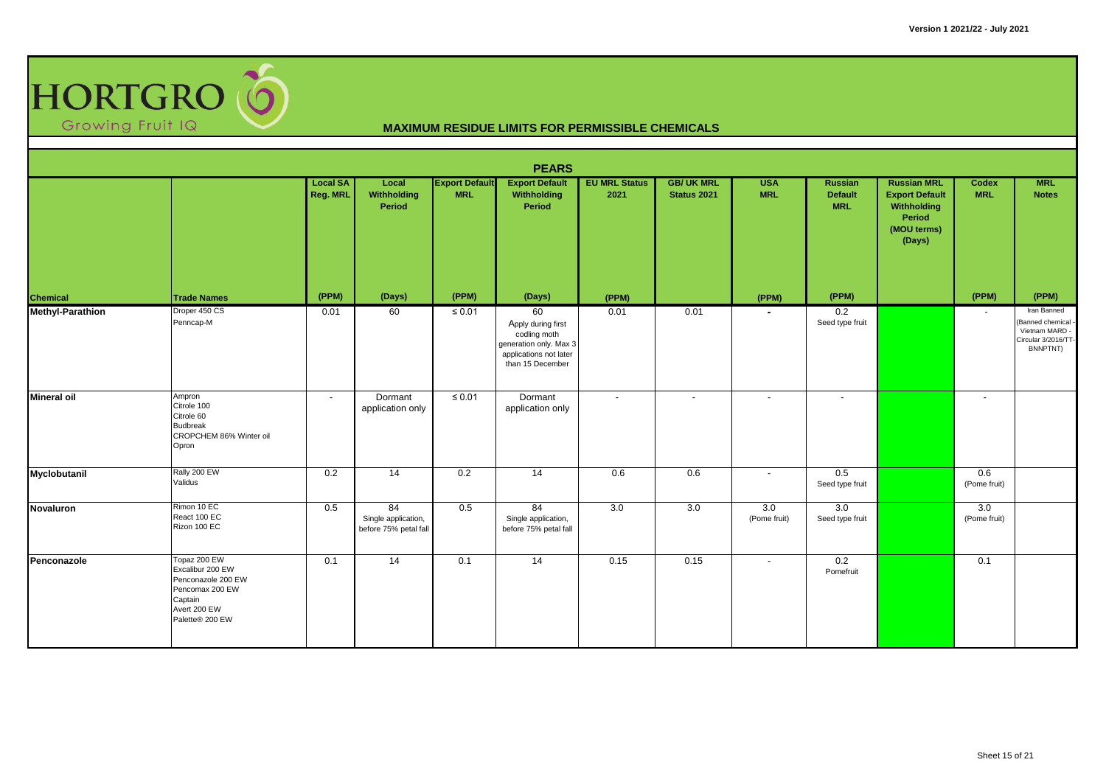

| <b>PEARS</b>            |                                                                                                                         |                             |                                                    |                                     |                                                                                                                  |                              |                                 |                          |                                                |                                                                                               |                     |                                                                                     |  |
|-------------------------|-------------------------------------------------------------------------------------------------------------------------|-----------------------------|----------------------------------------------------|-------------------------------------|------------------------------------------------------------------------------------------------------------------|------------------------------|---------------------------------|--------------------------|------------------------------------------------|-----------------------------------------------------------------------------------------------|---------------------|-------------------------------------------------------------------------------------|--|
|                         |                                                                                                                         | <b>Local SA</b><br>Reg. MRL | Local<br>Withholding<br>Period                     | <b>Export Default</b><br><b>MRL</b> | <b>Export Default</b><br>Withholding<br>Period                                                                   | <b>EU MRL Status</b><br>2021 | <b>GB/UK MRL</b><br>Status 2021 | <b>USA</b><br><b>MRL</b> | <b>Russian</b><br><b>Default</b><br><b>MRL</b> | <b>Russian MRL</b><br><b>Export Default</b><br>Withholding<br>Period<br>(MOU terms)<br>(Days) | Codex<br><b>MRL</b> | <b>MRL</b><br><b>Notes</b>                                                          |  |
| Chemical                | <b>Trade Names</b>                                                                                                      | (PPM)                       | (Days)                                             | (PPM)                               | (Days)                                                                                                           | (PPM)                        |                                 | (PPM)                    | (PPM)                                          |                                                                                               | (PPM)               | (PPM)                                                                               |  |
| <b>Methyl-Parathion</b> | Droper 450 CS<br>Penncap-M                                                                                              | 0.01                        | 60                                                 | $\leq 0.01$                         | 60<br>Apply during first<br>codling moth<br>generation only. Max 3<br>applications not later<br>than 15 December | 0.01                         | 0.01                            | $\overline{\phantom{a}}$ | 0.2<br>Seed type fruit                         |                                                                                               | $\sim$              | Iran Banned<br>Banned chemical<br>Vietnam MARD -<br>Circular 3/2016/TT-<br>BNNPTNT) |  |
| <b>Mineral oil</b>      | Ampron<br>Citrole 100<br>Citrole 60<br><b>Budbreak</b><br>CROPCHEM 86% Winter oil<br>Opron                              | $\overline{\phantom{a}}$    | Dormant<br>application only                        | $\leq 0.01$                         | Dormant<br>application only                                                                                      | $\sim$                       | $\overline{\phantom{a}}$        | $\overline{\phantom{a}}$ | $\blacksquare$                                 |                                                                                               | $\sim$              |                                                                                     |  |
| Myclobutanil            | Rally 200 EW<br>Validus                                                                                                 | 0.2                         | 14                                                 | 0.2                                 | $\overline{14}$                                                                                                  | 0.6                          | 0.6                             | $\overline{\phantom{a}}$ | 0.5<br>Seed type fruit                         |                                                                                               | 0.6<br>(Pome fruit) |                                                                                     |  |
| <b>Novaluron</b>        | Rimon 10 EC<br>React 100 EC<br>Rizon 100 EC                                                                             | 0.5                         | 84<br>Single application,<br>before 75% petal fall | 0.5                                 | 84<br>Single application,<br>before 75% petal fall                                                               | 3.0                          | 3.0                             | 3.0<br>(Pome fruit)      | 3.0<br>Seed type fruit                         |                                                                                               | 3.0<br>(Pome fruit) |                                                                                     |  |
| Penconazole             | Topaz 200 EW<br>Excalibur 200 EW<br>Penconazole 200 EW<br>Pencomax 200 EW<br>Captain<br>Avert 200 EW<br>Palette® 200 EW | 0.1                         | 14                                                 | 0.1                                 | $\overline{14}$                                                                                                  | 0.15                         | 0.15                            | $\sim$                   | 0.2<br>Pomefruit                               |                                                                                               | 0.1                 |                                                                                     |  |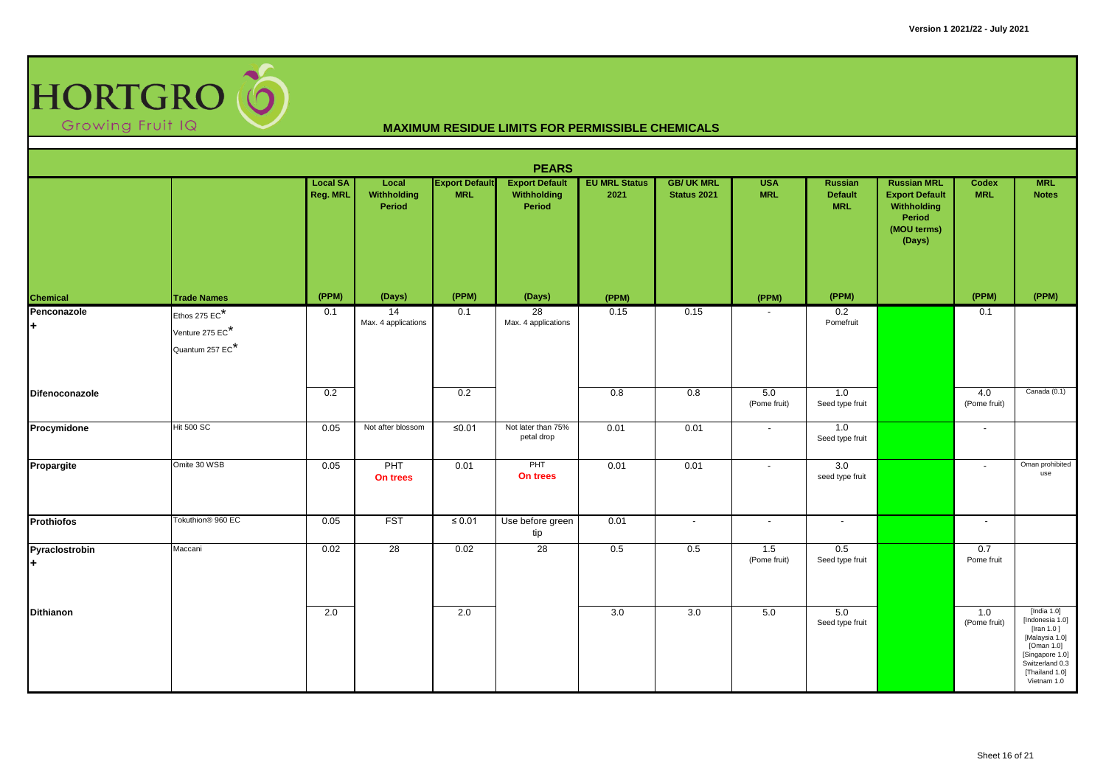

| <b>PEARS</b>            |                                                     |                             |                                       |                                     |                                                |                              |                                        |                          |                                                |                                                                                               |                     |                                                                                                                                                        |  |
|-------------------------|-----------------------------------------------------|-----------------------------|---------------------------------------|-------------------------------------|------------------------------------------------|------------------------------|----------------------------------------|--------------------------|------------------------------------------------|-----------------------------------------------------------------------------------------------|---------------------|--------------------------------------------------------------------------------------------------------------------------------------------------------|--|
|                         |                                                     | <b>Local SA</b><br>Reg. MRL | Local<br><b>Withholding</b><br>Period | <b>Export Default</b><br><b>MRL</b> | <b>Export Default</b><br>Withholding<br>Period | <b>EU MRL Status</b><br>2021 | <b>GB/UK MRL</b><br><b>Status 2021</b> | <b>USA</b><br><b>MRL</b> | <b>Russian</b><br><b>Default</b><br><b>MRL</b> | <b>Russian MRL</b><br><b>Export Default</b><br>Withholding<br>Period<br>(MOU terms)<br>(Days) | Codex<br><b>MRL</b> | <b>MRL</b><br><b>Notes</b>                                                                                                                             |  |
| Chemical                | <b>Trade Names</b>                                  | (PPM)                       | (Days)                                | (PPM)                               | (Days)                                         | (PPM)                        |                                        | (PPM)                    | (PPM)                                          |                                                                                               | (PPM)               | (PPM)                                                                                                                                                  |  |
| Penconazole<br>H.       | Ethos 275 EC*<br>Venture 275 EC*<br>Quantum 257 EC* | 0.1                         | 14<br>Max. 4 applications             | 0.1                                 | 28<br>Max. 4 applications                      | 0.15                         | 0.15                                   |                          | 0.2<br>Pomefruit                               |                                                                                               | 0.1                 |                                                                                                                                                        |  |
| Difenoconazole          |                                                     | 0.2                         |                                       | 0.2                                 |                                                | 0.8                          | 0.8                                    | 5.0<br>(Pome fruit)      | 1.0<br>Seed type fruit                         |                                                                                               | 4.0<br>(Pome fruit) | Canada (0.1)                                                                                                                                           |  |
| Procymidone             | <b>Hit 500 SC</b>                                   | 0.05                        | Not after blossom                     | ≤ $0.01$                            | Not later than 75%<br>petal drop               | 0.01                         | 0.01                                   | $\sim$                   | 1.0<br>Seed type fruit                         |                                                                                               | $\blacksquare$      |                                                                                                                                                        |  |
| <b>Propargite</b>       | Omite 30 WSB                                        | 0.05                        | PHT<br>On trees                       | 0.01                                | PHT<br>On trees                                | 0.01                         | 0.01                                   | $\blacksquare$           | 3.0<br>seed type fruit                         |                                                                                               | $\sim$              | Oman prohibited<br>use                                                                                                                                 |  |
| <b>Prothiofos</b>       | Tokuthion <sup>®</sup> 960 EC                       | 0.05                        | <b>FST</b>                            | $\leq 0.01$                         | Use before green<br>tip                        | 0.01                         | $\sim$                                 | $\sim$                   | $\sim$                                         |                                                                                               | $\sim$              |                                                                                                                                                        |  |
| Pyraclostrobin<br>$\pm$ | Maccani                                             | 0.02                        | 28                                    | 0.02                                | 28                                             | 0.5                          | 0.5                                    | 1.5<br>(Pome fruit)      | 0.5<br>Seed type fruit                         |                                                                                               | 0.7<br>Pome fruit   |                                                                                                                                                        |  |
| Dithianon               |                                                     | 2.0                         |                                       | 2.0                                 |                                                | 3.0                          | 3.0                                    | 5.0                      | 5.0<br>Seed type fruit                         |                                                                                               | 1.0<br>(Pome fruit) | [India 1.0]<br>[Indonesia 1.0]<br>[Iran $1.0$ ]<br>[Malaysia 1.0]<br>[Oman 1.0]<br>[Singapore 1.0]<br>Switzerland 0.3<br>[Thailand 1.0]<br>Vietnam 1.0 |  |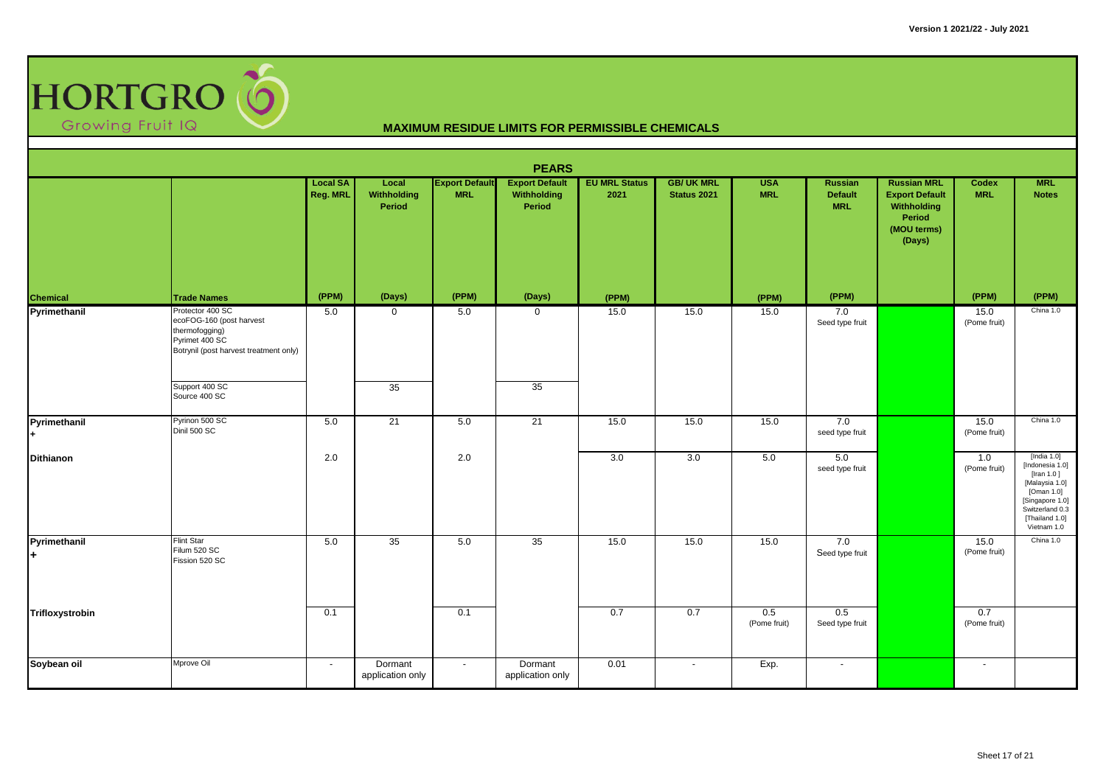

|                     | <b>PEARS</b>                                                                                                               |                             |                                       |                                     |                                                |                              |                                         |                          |                                                |                                                                                               |                            |                                                                                                                                                     |  |  |
|---------------------|----------------------------------------------------------------------------------------------------------------------------|-----------------------------|---------------------------------------|-------------------------------------|------------------------------------------------|------------------------------|-----------------------------------------|--------------------------|------------------------------------------------|-----------------------------------------------------------------------------------------------|----------------------------|-----------------------------------------------------------------------------------------------------------------------------------------------------|--|--|
|                     |                                                                                                                            | <b>Local SA</b><br>Reg. MRL | Local<br><b>Withholding</b><br>Period | <b>Export Default</b><br><b>MRL</b> | <b>Export Default</b><br>Withholding<br>Period | <b>EU MRL Status</b><br>2021 | <b>GB/ UK MRL</b><br><b>Status 2021</b> | <b>USA</b><br><b>MRL</b> | <b>Russian</b><br><b>Default</b><br><b>MRL</b> | <b>Russian MRL</b><br><b>Export Default</b><br>Withholding<br>Period<br>(MOU terms)<br>(Days) | <b>Codex</b><br><b>MRL</b> | <b>MRL</b><br><b>Notes</b>                                                                                                                          |  |  |
| Chemical            | <b>Trade Names</b>                                                                                                         | (PPM)                       | (Days)                                | (PPM)                               | (Days)                                         | (PPM)                        |                                         | (PPM)                    | (PPM)                                          |                                                                                               | (PPM)                      | (PPM)                                                                                                                                               |  |  |
| Pyrimethanil        | Protector 400 SC<br>ecoFOG-160 (post harvest<br>thermofogging)<br>Pyrimet 400 SC<br>Botrynil (post harvest treatment only) | 5.0                         | $\mathbf 0$                           | 5.0                                 | $\mathbf 0$                                    | 15.0                         | 15.0                                    | 15.0                     | 7.0<br>Seed type fruit                         |                                                                                               | 15.0<br>(Pome fruit)       | China 1.0                                                                                                                                           |  |  |
|                     | Support 400 SC<br>Source 400 SC                                                                                            |                             | 35                                    |                                     | 35                                             |                              |                                         |                          |                                                |                                                                                               |                            |                                                                                                                                                     |  |  |
| Pyrimethanil        | Pyrinon 500 SC<br>Dinil 500 SC                                                                                             | 5.0                         | $\overline{21}$                       | 5.0                                 | $\overline{21}$                                | 15.0                         | 15.0                                    | 15.0                     | 7.0<br>seed type fruit                         |                                                                                               | 15.0<br>(Pome fruit)       | China 1.0                                                                                                                                           |  |  |
| Dithianon           |                                                                                                                            | 2.0                         |                                       | 2.0                                 |                                                | 3.0                          | 3.0                                     | 5.0                      | 5.0<br>seed type fruit                         |                                                                                               | 1.0<br>(Pome fruit)        | [India 1.0]<br>[Indonesia 1.0]<br>[Iran 1.0]<br>[Malaysia 1.0]<br>[Oman 1.0]<br>[Singapore 1.0]<br>Switzerland 0.3<br>[Thailand 1.0]<br>Vietnam 1.0 |  |  |
| Pyrimethanil<br>l+. | <b>Flint Star</b><br>Filum 520 SC<br>Fission 520 SC                                                                        | 5.0                         | 35                                    | 5.0                                 | 35                                             | 15.0                         | 15.0                                    | 15.0                     | 7.0<br>Seed type fruit                         |                                                                                               | 15.0<br>(Pome fruit)       | China 1.0                                                                                                                                           |  |  |
| Trifloxystrobin     |                                                                                                                            | 0.1                         |                                       | 0.1                                 |                                                | 0.7                          | 0.7                                     | 0.5<br>(Pome fruit)      | 0.5<br>Seed type fruit                         |                                                                                               | 0.7<br>(Pome fruit)        |                                                                                                                                                     |  |  |
| Soybean oil         | Mprove Oil                                                                                                                 | $\sim$                      | Dormant<br>application only           | $\sim$                              | Dormant<br>application only                    | 0.01                         | $\sim$                                  | Exp.                     | $\sim$                                         |                                                                                               | $\sim$                     |                                                                                                                                                     |  |  |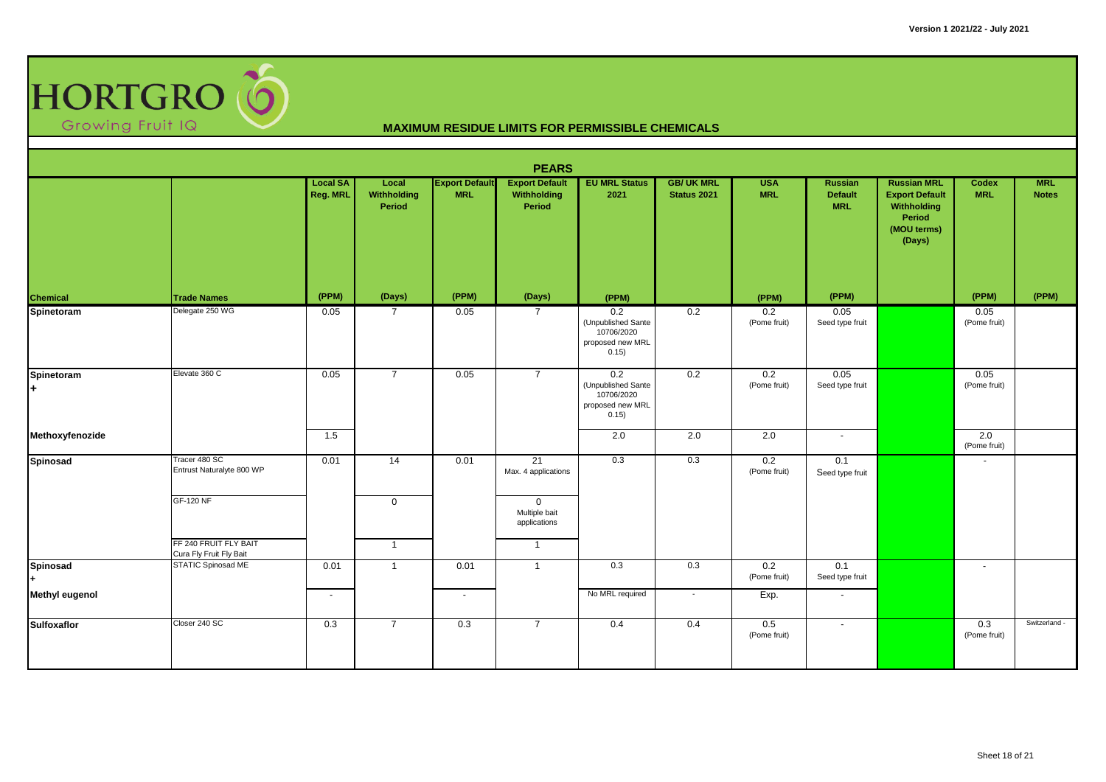

| <b>PEARS</b>    |                                                  |                             |                                |                                     |                                                |                                                                      |                                         |                          |                                                |                                                                                               |                                  |                            |  |
|-----------------|--------------------------------------------------|-----------------------------|--------------------------------|-------------------------------------|------------------------------------------------|----------------------------------------------------------------------|-----------------------------------------|--------------------------|------------------------------------------------|-----------------------------------------------------------------------------------------------|----------------------------------|----------------------------|--|
|                 |                                                  | <b>Local SA</b><br>Reg. MRL | Local<br>Withholding<br>Period | <b>Export Default</b><br><b>MRL</b> | <b>Export Default</b><br>Withholding<br>Period | <b>EU MRL Status</b><br>2021                                         | <b>GB/ UK MRL</b><br><b>Status 2021</b> | <b>USA</b><br><b>MRL</b> | <b>Russian</b><br><b>Default</b><br><b>MRL</b> | <b>Russian MRL</b><br><b>Export Default</b><br>Withholding<br>Period<br>(MOU terms)<br>(Days) | <b>Codex</b><br><b>MRL</b>       | <b>MRL</b><br><b>Notes</b> |  |
| Chemical        | <b>Trade Names</b>                               | (PPM)                       | (Days)                         | (PPM)                               | (Days)                                         | (PPM)                                                                |                                         | (PPM)                    | (PPM)                                          |                                                                                               | (PPM)                            | (PPM)                      |  |
| Spinetoram      | Delegate 250 WG                                  | 0.05                        | $\overline{7}$                 | 0.05                                | $\overline{7}$                                 | 0.2<br>(Unpublished Sante<br>10706/2020<br>proposed new MRL<br>0.15) | 0.2                                     | 0.2<br>(Pome fruit)      | 0.05<br>Seed type fruit                        |                                                                                               | 0.05<br>(Pome fruit)             |                            |  |
| Spinetoram<br>÷ | Elevate 360 C                                    | 0.05                        | $\overline{7}$                 | 0.05                                | $\overline{7}$                                 | 0.2<br>(Unpublished Sante<br>10706/2020<br>proposed new MRL<br>0.15) | 0.2                                     | 0.2<br>(Pome fruit)      | 0.05<br>Seed type fruit                        |                                                                                               | 0.05<br>(Pome fruit)             |                            |  |
| Methoxyfenozide |                                                  | 1.5                         |                                |                                     |                                                | 2.0                                                                  | 2.0                                     | $\overline{2.0}$         | $\sim$                                         |                                                                                               | $\overline{2.0}$<br>(Pome fruit) |                            |  |
| Spinosad        | Tracer 480 SC<br>Entrust Naturalyte 800 WP       | 0.01                        | 14                             | 0.01                                | 21<br>Max. 4 applications                      | 0.3                                                                  | 0.3                                     | 0.2<br>(Pome fruit)      | 0.1<br>Seed type fruit                         |                                                                                               | $\blacksquare$                   |                            |  |
|                 | <b>GF-120 NF</b>                                 |                             | $\mathbf 0$                    |                                     | $\mathbf 0$<br>Multiple bait<br>applications   |                                                                      |                                         |                          |                                                |                                                                                               |                                  |                            |  |
|                 | FF 240 FRUIT FLY BAIT<br>Cura Fly Fruit Fly Bait |                             | $\overline{1}$                 |                                     | $\mathbf{1}$                                   |                                                                      |                                         |                          |                                                |                                                                                               |                                  |                            |  |
| Spinosad        | STATIC Spinosad ME                               | 0.01                        | $\overline{1}$                 | 0.01                                | $\mathbf{1}$                                   | 0.3                                                                  | 0.3                                     | 0.2<br>(Pome fruit)      | 0.1<br>Seed type fruit                         |                                                                                               | $\sim$                           |                            |  |
| Methyl eugenol  |                                                  | $\overline{\phantom{a}}$    |                                | $\sim$                              |                                                | No MRL required                                                      | $\sim$                                  | Exp.                     | $\sim$                                         |                                                                                               |                                  |                            |  |
| Sulfoxaflor     | Closer 240 SC                                    | 0.3                         | $\overline{7}$                 | 0.3                                 | $\overline{7}$                                 | 0.4                                                                  | 0.4                                     | 0.5<br>(Pome fruit)      | $\overline{\phantom{a}}$                       |                                                                                               | 0.3<br>(Pome fruit)              | Switzerland -              |  |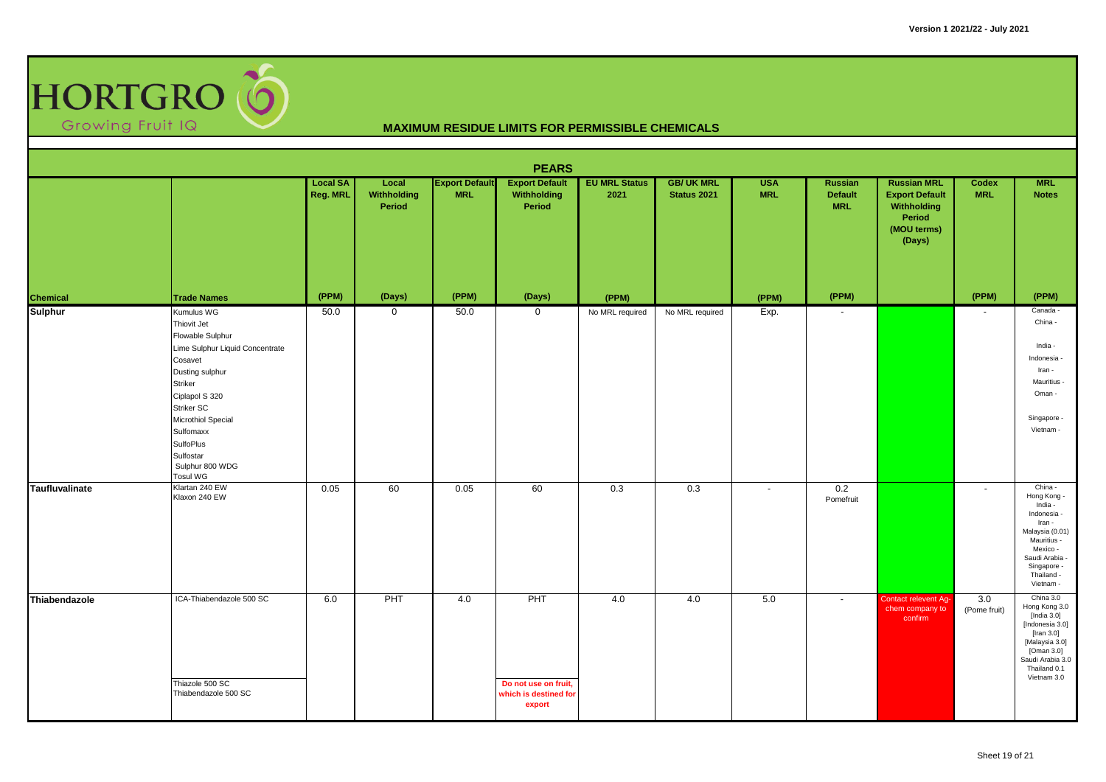

| <b>PEARS</b>          |                                                                                                                                                                                                                                                              |                             |                                |                                     |                                                                |                              |                                         |                          |                                  |                                                                                               |                          |                                                                                                                                                                    |  |
|-----------------------|--------------------------------------------------------------------------------------------------------------------------------------------------------------------------------------------------------------------------------------------------------------|-----------------------------|--------------------------------|-------------------------------------|----------------------------------------------------------------|------------------------------|-----------------------------------------|--------------------------|----------------------------------|-----------------------------------------------------------------------------------------------|--------------------------|--------------------------------------------------------------------------------------------------------------------------------------------------------------------|--|
|                       |                                                                                                                                                                                                                                                              | <b>Local SA</b><br>Reg. MRL | Local<br>Withholding<br>Period | <b>Export Default</b><br><b>MRL</b> | <b>Export Default</b><br>Withholding<br>Period                 | <b>EU MRL Status</b><br>2021 | <b>GB/ UK MRL</b><br><b>Status 2021</b> | <b>USA</b><br><b>MRL</b> | Russian<br>Default<br><b>MRL</b> | <b>Russian MRL</b><br><b>Export Default</b><br>Withholding<br>Period<br>(MOU terms)<br>(Days) | Codex<br><b>MRL</b>      | <b>MRL</b><br><b>Notes</b>                                                                                                                                         |  |
| Chemical              | <b>Trade Names</b>                                                                                                                                                                                                                                           | (PPM)                       | (Days)                         | (PPM)                               | (Days)                                                         | (PPM)                        |                                         | (PPM)                    | (PPM)                            |                                                                                               | (PPM)                    | (PPM)                                                                                                                                                              |  |
| Sulphur               | Kumulus WG<br>Thiovit Jet<br>Flowable Sulphur<br>Lime Sulphur Liquid Concentrate<br>Cosavet<br>Dusting sulphur<br>Striker<br>Ciplapol S 320<br>Striker SC<br>Microthiol Special<br>Sulfomaxx<br>SulfoPlus<br>Sulfostar<br>Sulphur 800 WDG<br><b>Tosul WG</b> | 50.0                        | $\mathbf 0$                    | 50.0                                | $\overline{0}$                                                 | No MRL required              | No MRL required                         | Exp.                     | $\overline{\phantom{a}}$         |                                                                                               | $\overline{\phantom{a}}$ | Canada -<br>China -<br>India -<br>Indonesia -<br>Iran -<br>Mauritius -<br>Oman -<br>Singapore -<br>Vietnam -                                                       |  |
| <b>Taufluvalinate</b> | Klartan 240 EW<br>Klaxon 240 EW                                                                                                                                                                                                                              | 0.05                        | 60                             | 0.05                                | 60                                                             | 0.3                          | 0.3                                     | $\sim$                   | 0.2<br>Pomefruit                 |                                                                                               | $\overline{\phantom{a}}$ | China -<br>Hong Kong -<br>India -<br>Indonesia -<br>Iran -<br>Malaysia (0.01)<br>Mauritius -<br>Mexico -<br>Saudi Arabia<br>Singapore -<br>Thailand -<br>Vietnam - |  |
| Thiabendazole         | ICA-Thiabendazole 500 SC<br>Thiazole 500 SC<br>Thiabendazole 500 SC                                                                                                                                                                                          | 6.0                         | PHT                            | 4.0                                 | PHT<br>Do not use on fruit,<br>which is destined for<br>export | 4.0                          | 4.0                                     | 5.0                      | $\sim$                           | <b>Contact relevent Ag-</b><br>chem company to<br>confirm                                     | 3.0<br>(Pome fruit)      | China 3.0<br>Hong Kong 3.0<br>[India 3.0]<br>[Indonesia 3.0]<br>[Iran $3.0$ ]<br>[Malaysia 3.0]<br>[Oman 3.0]<br>Saudi Arabia 3.0<br>Thailand 0.1<br>Vietnam 3.0   |  |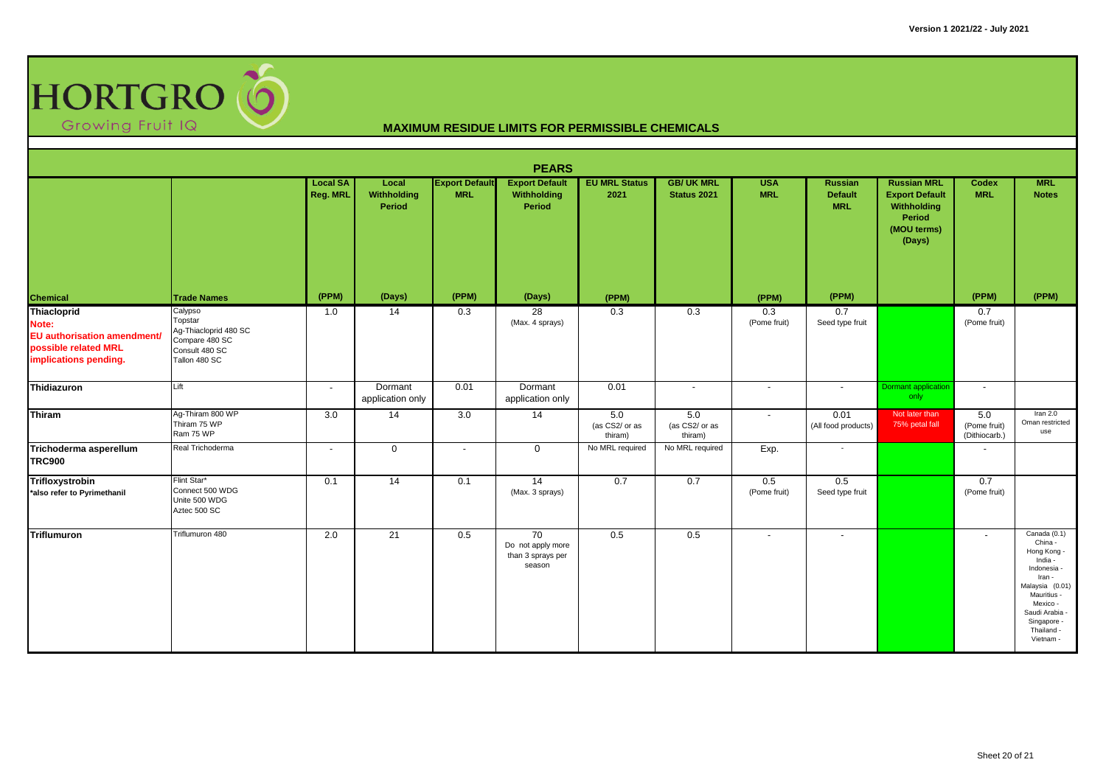

| <b>PEARS</b>                                                                                         |                                                                                                  |                                    |                                |                                     |                                                        |                                  |                                  |                          |                                         |                                                                                               |                                      |                                                                                                                                                                                    |  |
|------------------------------------------------------------------------------------------------------|--------------------------------------------------------------------------------------------------|------------------------------------|--------------------------------|-------------------------------------|--------------------------------------------------------|----------------------------------|----------------------------------|--------------------------|-----------------------------------------|-----------------------------------------------------------------------------------------------|--------------------------------------|------------------------------------------------------------------------------------------------------------------------------------------------------------------------------------|--|
|                                                                                                      |                                                                                                  | <b>Local SA</b><br><b>Reg. MRL</b> | Local<br>Withholding<br>Period | <b>Export Default</b><br><b>MRL</b> | <b>Export Default</b><br>Withholding<br>Period         | <b>EU MRL Status</b><br>2021     | <b>GB/ UK MRL</b><br>Status 2021 | <b>USA</b><br><b>MRL</b> | Russian<br><b>Default</b><br><b>MRL</b> | <b>Russian MRL</b><br><b>Export Default</b><br>Withholding<br>Period<br>(MOU terms)<br>(Days) | <b>Codex</b><br><b>MRL</b>           | <b>MRL</b><br><b>Notes</b>                                                                                                                                                         |  |
| Chemical                                                                                             | <b>Trade Names</b>                                                                               | (PPM)                              | (Days)                         | (PPM)                               | (Days)                                                 | (PPM)                            |                                  | (PPM)                    | (PPM)                                   |                                                                                               | (PPM)                                | (PPM)                                                                                                                                                                              |  |
| Thiacloprid<br>Note:<br>EU authorisation amendment/<br>possible related MRL<br>implications pending. | Calypso<br>Topstar<br>Ag-Thiacloprid 480 SC<br>Compare 480 SC<br>Consult 480 SC<br>Tallon 480 SC | 1.0                                | 14                             | 0.3                                 | $\overline{28}$<br>(Max. 4 sprays)                     | 0.3                              | 0.3                              | 0.3<br>(Pome fruit)      | 0.7<br>Seed type fruit                  |                                                                                               | 0.7<br>(Pome fruit)                  |                                                                                                                                                                                    |  |
| Thidiazuron                                                                                          | Lift                                                                                             | $\sim$                             | Dormant<br>application only    | 0.01                                | Dormant<br>application only                            | 0.01                             | $\sim$                           | $\overline{\phantom{a}}$ | $\sim$                                  | Dormant application<br>only                                                                   | $\sim$                               |                                                                                                                                                                                    |  |
| <b>Thiram</b>                                                                                        | Ag-Thiram 800 WP<br>Thiram 75 WP<br>Ram 75 WP                                                    | 3.0                                | 14                             | 3.0                                 | $\overline{14}$                                        | 5.0<br>(as CS2/ or as<br>thiram) | 5.0<br>(as CS2/ or as<br>thiram) | $\blacksquare$           | 0.01<br>(All food products)             | Not later than<br>75% petal fall                                                              | 5.0<br>(Pome fruit)<br>(Dithiocarb.) | Iran $2.0$<br>Oman restricted<br>use                                                                                                                                               |  |
| Trichoderma asperellum<br><b>TRC900</b>                                                              | Real Trichoderma                                                                                 | $\sim$                             | $\mathbf 0$                    | $\sim$                              | $\mathbf{0}$                                           | No MRL required                  | No MRL required                  | Exp.                     | $\sim$                                  |                                                                                               | $\sim$                               |                                                                                                                                                                                    |  |
| Trifloxystrobin<br>*also refer to Pyrimethanil                                                       | Flint Star*<br>Connect 500 WDG<br>Unite 500 WDG<br>Aztec 500 SC                                  | 0.1                                | 14                             | 0.1                                 | 14<br>(Max. 3 sprays)                                  | 0.7                              | 0.7                              | 0.5<br>(Pome fruit)      | 0.5<br>Seed type fruit                  |                                                                                               | 0.7<br>(Pome fruit)                  |                                                                                                                                                                                    |  |
| <b>Triflumuron</b>                                                                                   | Triflumuron 480                                                                                  | 2.0                                | 21                             | 0.5                                 | 70<br>Do not apply more<br>than 3 sprays per<br>season | 0.5                              | 0.5                              | $\overline{\phantom{a}}$ | $\overline{\phantom{a}}$                |                                                                                               | $\overline{\phantom{a}}$             | Canada (0.1)<br>China -<br>Hong Kong -<br>India -<br>Indonesia -<br>Iran -<br>Malaysia (0.01)<br>Mauritius -<br>Mexico -<br>Saudi Arabia<br>Singapore -<br>Thailand -<br>Vietnam - |  |